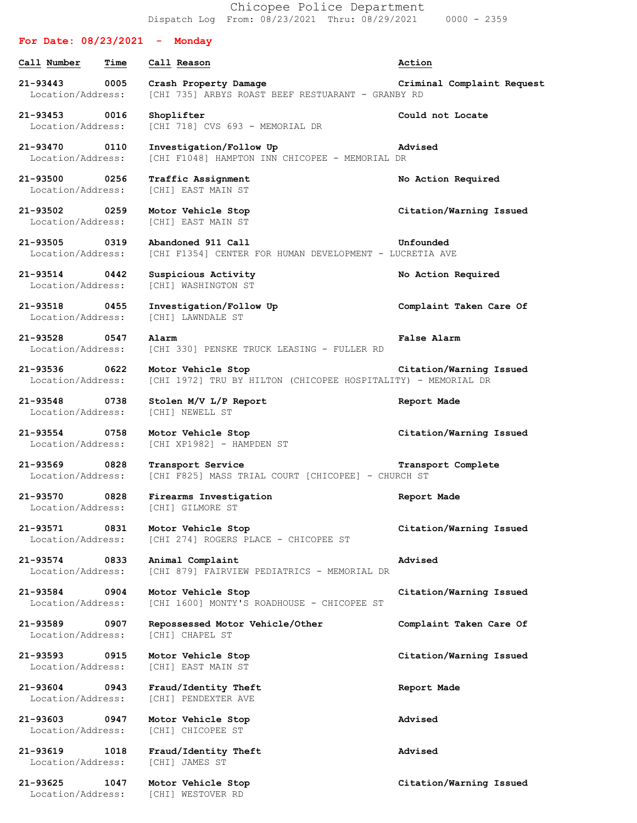Chicopee Police Department Dispatch Log From: 08/23/2021 Thru: 08/29/2021 0000 - 2359

## **For Date: 08/23/2021 - Monday Call Number Time Call Reason Action 21-93443 0005 Crash Property Damage Criminal Complaint Request** Location/Address: [CHI 735] ARBYS ROAST BEEF RESTUARANT - GRANBY RD **21-93453 0016 Shoplifter Could not Locate** Location/Address: [CHI 718] CVS 693 - MEMORIAL DR **21-93470 0110 Investigation/Follow Up Advised** Location/Address: [CHI F1048] HAMPTON INN CHICOPEE - MEMORIAL DR **21-93500 0256 Traffic Assignment No Action Required** Location/Address: [CHI] EAST MAIN ST **21-93502 0259 Motor Vehicle Stop Citation/Warning Issued** Location/Address: [CHI] EAST MAIN ST **21-93505 0319 Abandoned 911 Call Unfounded** Location/Address: [CHI F1354] CENTER FOR HUMAN DEVELOPMENT - LUCRETIA AVE **21-93514 0442 Suspicious Activity No Action Required** Location/Address: [CHI] WASHINGTON ST **21-93518 0455 Investigation/Follow Up Complaint Taken Care Of** Location/Address: [CHI] LAWNDALE ST **21-93528 0547 Alarm False Alarm** Location/Address: [CHI 330] PENSKE TRUCK LEASING - FULLER RD **21-93536 0622 Motor Vehicle Stop Citation/Warning Issued** Location/Address: [CHI 1972] TRU BY HILTON (CHICOPEE HOSPITALITY) - MEMORIAL DR **21-93548 0738 Stolen M/V L/P Report Report Made** Location/Address: [CHI] NEWELL ST **21-93554 0758 Motor Vehicle Stop Citation/Warning Issued** Location/Address: [CHI XP1982] - HAMPDEN ST **21-93569 0828 Transport Service Transport Complete** Location/Address: [CHI F825] MASS TRIAL COURT [CHICOPEE] - CHURCH ST **21-93570 0828 Firearms Investigation Report Made** Location/Address: [CHI] GILMORE ST **21-93571 0831 Motor Vehicle Stop Citation/Warning Issued** Location/Address: [CHI 274] ROGERS PLACE - CHICOPEE ST **21-93574 0833 Animal Complaint Advised** Location/Address: [CHI 879] FAIRVIEW PEDIATRICS - MEMORIAL DR **21-93584 0904 Motor Vehicle Stop Citation/Warning Issued** Location/Address: [CHI 1600] MONTY'S ROADHOUSE - CHICOPEE ST **21-93589 0907 Repossessed Motor Vehicle/Other Complaint Taken Care Of** Location/Address: [CHI] CHAPEL ST **21-93593 0915 Motor Vehicle Stop Citation/Warning Issued** Location/Address: [CHI] EAST MAIN ST **21-93604 0943 Fraud/Identity Theft Report Made** Location/Address: [CHI] PENDEXTER AVE **21-93603 0947 Motor Vehicle Stop Advised** Location/Address: [CHI] CHICOPEE ST **21-93619 1018 Fraud/Identity Theft Advised** Location/Address: [CHI] JAMES ST **21-93625 1047 Motor Vehicle Stop Citation/Warning Issued** Location/Address: [CHI] WESTOVER RD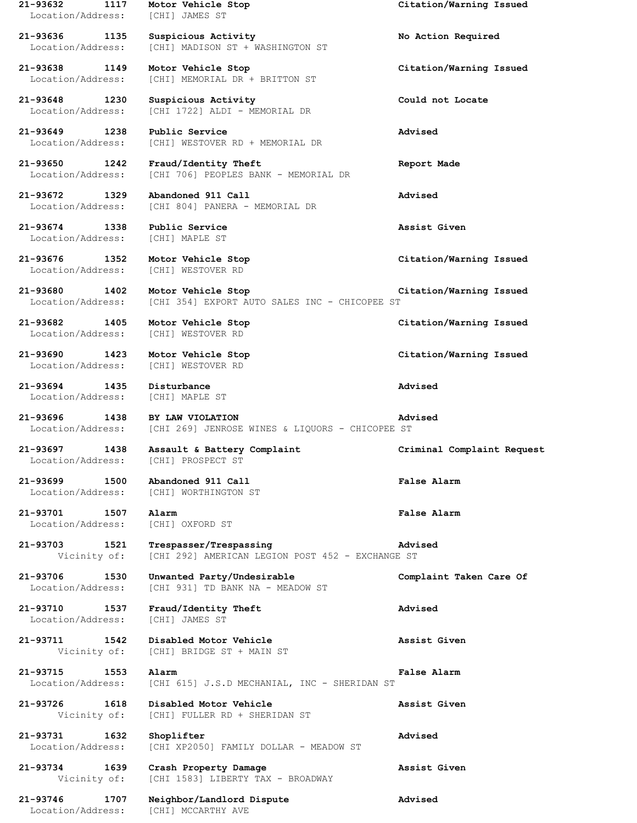| 21-93632<br>1117<br>Location/Address:     | Motor Vehicle Stop<br><b>[CHI] JAMES ST</b>                                | Citation/Warning Issued    |
|-------------------------------------------|----------------------------------------------------------------------------|----------------------------|
| 21-93636<br>1135<br>Location/Address:     | Suspicious Activity<br>[CHI] MADISON ST + WASHINGTON ST                    | No Action Required         |
| 21-93638<br>1149<br>Location/Address:     | Motor Vehicle Stop<br>[CHI] MEMORIAL DR + BRITTON ST                       | Citation/Warning Issued    |
| 21-93648<br>1230<br>Location/Address:     | Suspicious Activity<br>[CHI 1722] ALDI - MEMORIAL DR                       | Could not Locate           |
| 21-93649<br>1238<br>Location/Address:     | Public Service<br>[CHI] WESTOVER RD + MEMORIAL DR                          | Advised                    |
| 21-93650<br>1242<br>Location/Address:     | Fraud/Identity Theft<br>[CHI 706] PEOPLES BANK - MEMORIAL DR               | Report Made                |
| 21-93672<br>1329<br>Location/Address:     | Abandoned 911 Call<br>[CHI 804] PANERA - MEMORIAL DR                       | Advised                    |
| 21-93674 1338<br>Location/Address:        | Public Service<br>[CHI] MAPLE ST                                           | Assist Given               |
| 21-93676<br>1352<br>Location/Address:     | Motor Vehicle Stop<br>[CHI] WESTOVER RD                                    | Citation/Warning Issued    |
| $21 - 93680$<br>1402<br>Location/Address: | Motor Vehicle Stop<br>[CHI 354] EXPORT AUTO SALES INC - CHICOPEE ST        | Citation/Warning Issued    |
| 21-93682<br>1405<br>Location/Address:     | Motor Vehicle Stop<br>[CHI] WESTOVER RD                                    | Citation/Warning Issued    |
| 21-93690<br>1423<br>Location/Address:     | Motor Vehicle Stop<br>[CHI] WESTOVER RD                                    | Citation/Warning Issued    |
| 1435<br>21-93694<br>Location/Address:     | Disturbance<br>[CHI] MAPLE ST                                              | Advised                    |
| 21-93696<br>1438<br>Location/Address:     | BY LAW VIOLATION<br>[CHI 269] JENROSE WINES & LIQUORS - CHICOPEE ST        | Advised                    |
| 21-93697<br>1438<br>Location/Address:     | Assault & Battery Complaint<br>[CHI] PROSPECT ST                           | Criminal Complaint Request |
| 21-93699 1500<br>Location/Address:        | Abandoned 911 Call<br>[CHI] WORTHINGTON ST                                 | <b>False Alarm</b>         |
| 21-93701 1507<br>Location/Address:        | Alarm<br>[CHI] OXFORD ST                                                   | False Alarm                |
| 21-93703<br>1521<br>Vicinity of:          | Trespasser/Trespassing<br>[CHI 292] AMERICAN LEGION POST 452 - EXCHANGE ST | Advised                    |
| 21-93706<br>1530<br>Location/Address:     | Unwanted Party/Undesirable<br>[CHI 931] TD BANK NA - MEADOW ST             | Complaint Taken Care Of    |
| 21-93710 1537<br>Location/Address:        | Fraud/Identity Theft<br>[CHI] JAMES ST                                     | Advised                    |
| 1542<br>21-93711<br>Vicinity of:          | Disabled Motor Vehicle<br>[CHI] BRIDGE ST + MAIN ST                        | Assist Given               |
| 21-93715<br>1553<br>Location/Address:     | Alarm<br>[CHI 615] J.S.D MECHANIAL, INC - SHERIDAN ST                      | False Alarm                |
| 21-93726<br>1618<br>Vicinity of:          | Disabled Motor Vehicle<br>[CHI] FULLER RD + SHERIDAN ST                    | Assist Given               |
| 21-93731<br>1632<br>Location/Address:     | Shoplifter<br>[CHI XP2050] FAMILY DOLLAR - MEADOW ST                       | Advised                    |
| 1639<br>21-93734<br>Vicinity of:          | Crash Property Damage<br>[CHI 1583] LIBERTY TAX - BROADWAY                 | Assist Given               |
| 21-93746<br>1707<br>Location/Address:     | Neighbor/Landlord Dispute<br>[CHI] MCCARTHY AVE                            | Advised                    |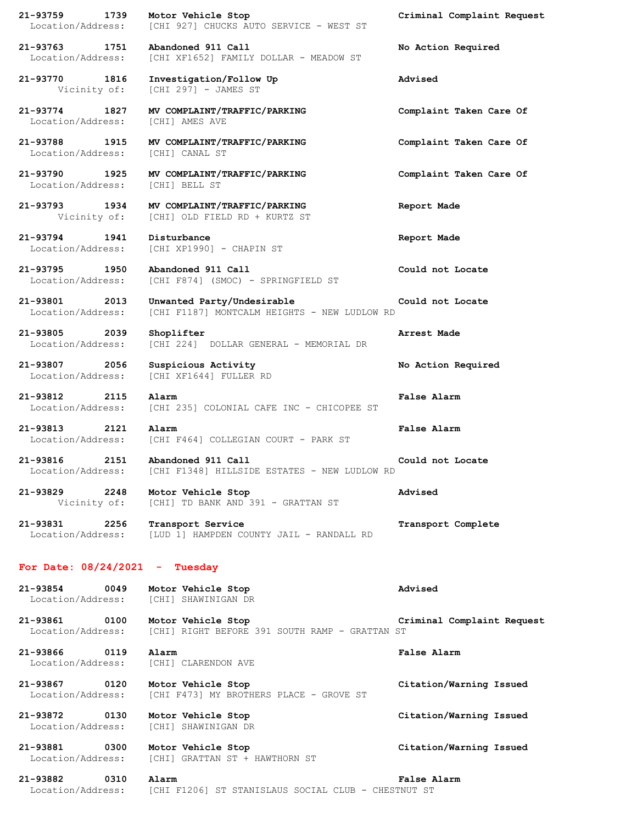| 21-93759 1739 Motor Vehicle Stop                                          | Location/Address: [CHI 927] CHUCKS AUTO SERVICE - WEST ST                                     | Criminal Complaint Request |
|---------------------------------------------------------------------------|-----------------------------------------------------------------------------------------------|----------------------------|
| 21-93763 1751<br>Location/Address:                                        | Abandoned 911 Call<br>[CHI XF1652] FAMILY DOLLAR - MEADOW ST                                  | No Action Required         |
| 21-93770 1816<br>Vicinity of:                                             | Investigation/Follow Up<br>[CHI 297] - JAMES ST                                               | Advised                    |
| 21-93774 1827<br>Location/Address:                                        | MV COMPLAINT/TRAFFIC/PARKING<br>[CHI] AMES AVE                                                | Complaint Taken Care Of    |
| Location/Address:                                                         | 21-93788 1915 MV COMPLAINT/TRAFFIC/PARKING<br>[CHI] CANAL ST                                  | Complaint Taken Care Of    |
| Location/Address: [CHI] BELL ST                                           | 21-93790 1925 MV COMPLAINT/TRAFFIC/PARKING                                                    | Complaint Taken Care Of    |
|                                                                           | 21-93793 1934 MV COMPLAINT/TRAFFIC/PARKING<br>Vicinity of: [CHI] OLD FIELD RD + KURTZ ST      | Report Made                |
| 21-93794 1941 Disturbance<br>Location/Address:                            | [CHI XP1990] - CHAPIN ST                                                                      | Report Made                |
| 21-93795 1950<br>Location/Address:                                        | Abandoned 911 Call<br>[CHI F874] (SMOC) - SPRINGFIELD ST                                      | Could not Locate           |
| 21-93801 2013<br>Location/Address:                                        | Unwanted Party/Undesirable<br>[CHI F1187] MONTCALM HEIGHTS - NEW LUDLOW RD                    | Could not Locate           |
| 21-93805 2039<br>Location/Address:                                        | Shoplifter<br>[CHI 224] DOLLAR GENERAL - MEMORIAL DR                                          | Arrest Made                |
| 21-93807 2056<br>Location/Address:                                        | Suspicious Activity<br>[CHI XF1644] FULLER RD                                                 | No Action Required         |
| 21-93812 2115                                                             | Alarm<br>Location/Address: [CHI 235] COLONIAL CAFE INC - CHICOPEE ST                          | False Alarm                |
| 21-93813<br>2121 Alarm                                                    | Location/Address: [CHI F464] COLLEGIAN COURT - PARK ST                                        | False Alarm                |
| 2151<br>21-93816                                                          | Abandoned 911 Call<br>Location/Address: [CHI F1348] HILLSIDE ESTATES - NEW LUDLOW RD          | Could not Locate           |
| 21-93829 2248 Motor Vehicle Stop                                          | Vicinity of: [CHI] TD BANK AND 391 - GRATTAN ST                                               | Advised                    |
|                                                                           | 21-93831 2256 Transport Service<br>Location/Address: [LUD 1] HAMPDEN COUNTY JAIL - RANDALL RD | Transport Complete         |
| For Date: 08/24/2021 - Tuesday                                            |                                                                                               |                            |
| 21-93854 0049 Motor Vehicle Stop<br>Location/Address: [CHI] SHAWINIGAN DR |                                                                                               | Advised                    |
| 21-93861 0100 Motor Vehicle Stop                                          | Location/Address: [CHI] RIGHT BEFORE 391 SOUTH RAMP - GRATTAN ST                              | Criminal Complaint Request |
| Location/Address: [CHI] CLARENDON AVE                                     |                                                                                               | False Alarm                |
| 21-93867 0120 Motor Vehicle Stop<br>Location/Address:                     | [CHI F473] MY BROTHERS PLACE - GROVE ST                                                       | Citation/Warning Issued    |
| 21-93872 0130 Motor Vehicle Stop<br>Location/Address: [CHI] SHAWINIGAN DR |                                                                                               | Citation/Warning Issued    |
| 21-93881 0300 Motor Vehicle Stop                                          | Location/Address: [CHI] GRATTAN ST + HAWTHORN ST                                              | Citation/Warning Issued    |

## **21-93882 0310 Alarm False Alarm** Location/Address: [CHI F1206] ST STANISLAUS SOCIAL CLUB - CHESTNUT ST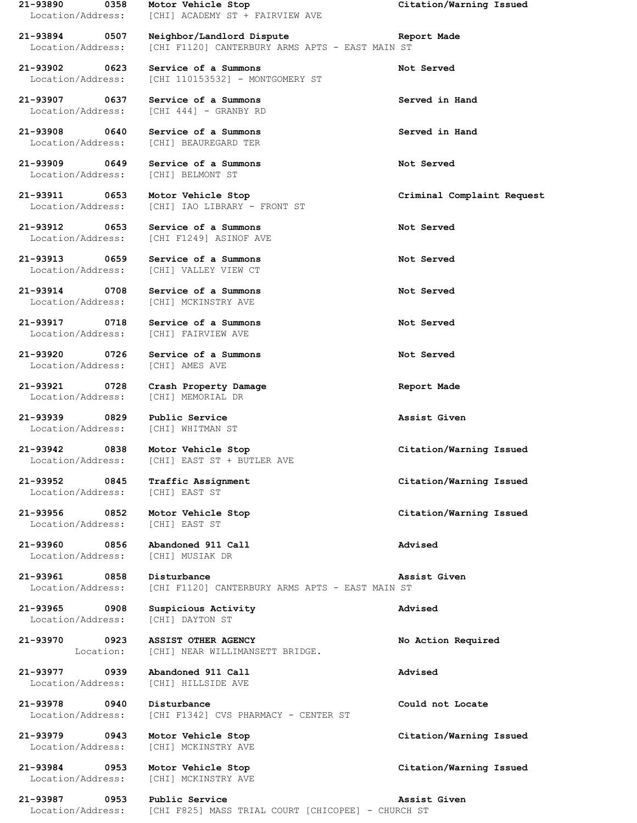Location/Address: [CHI] BELMONT ST

Location/Address: [CHI] IAO LIBRARY - FRONT ST

Location/Address: [CHI] MCKINSTRY AVE

Location/Address: [CHI] FAIRVIEW AVE

**21-93920 0726 Service of a Summons Not Served** Location/Address: [CHI] AMES AVE

**21-93921 0728 Crash Property Damage Report Made** Location/Address: [CHI] MEMORIAL DR

Location/Address: [CHI] WHITMAN ST

Location/Address: [CHI] EAST ST

Location/Address: [CHI] EAST ST

Location/Address: [CHI] MUSIAK DR

Location/Address: [CHI] DAYTON ST

**21-93987 0953 Public Service Assist Given** Location/Address: [CHI F825] MASS TRIAL COURT [CHICOPEE] - CHURCH ST

**21-93890 0358 Motor Vehicle Stop Citation/Warning Issued** Location/Address: [CHI] ACADEMY ST + FAIRVIEW AVE

**21-93894 0507 Neighbor/Landlord Dispute Report Made** Location/Address: [CHI F1120] CANTERBURY ARMS APTS - EAST MAIN ST

**21-93902 0623 Service of a Summons Not Served** Location/Address: [CHI 110153532] - MONTGOMERY ST

**21-93907 0637 Service of a Summons Served in Hand** Location/Address: [CHI 444] - GRANBY RD

**21-93908 0640 Service of a Summons Served in Hand** Location/Address: [CHI] BEAUREGARD TER

**21-93909 0649 Service of a Summons Not Served**

**21-93911 0653 Motor Vehicle Stop Criminal Complaint Request**

**21-93912 0653 Service of a Summons Not Served** Location/Address: [CHI F1249] ASINOF AVE

**21-93913 0659 Service of a Summons Not Served** Location/Address: [CHI] VALLEY VIEW CT

**21-93914 0708 Service of a Summons Not Served**

**21-93917 0718 Service of a Summons Not Served**

**21-93939 0829 Public Service Assist Given**

**21-93942 0838 Motor Vehicle Stop Citation/Warning Issued** Location/Address: [CHI] EAST ST + BUTLER AVE

**21-93952 0845 Traffic Assignment Citation/Warning Issued**

**21-93960 0856 Abandoned 911 Call Advised**

**21-93961 0858 Disturbance Assist Given** Location/Address: [CHI F1120] CANTERBURY ARMS APTS - EAST MAIN ST

**21-93965 0908 Suspicious Activity Advised**

**21-93970 0923 ASSIST OTHER AGENCY No Action Required** Location: [CHI] NEAR WILLIMANSETT BRIDGE.

**21-93977 0939 Abandoned 911 Call Advised** Location/Address: [CHI] HILLSIDE AVE

**21-93978 0940 Disturbance Could not Locate** Location/Address: [CHI F1342] CVS PHARMACY - CENTER ST

Location/Address: [CHI] MCKINSTRY AVE

Location/Address: [CHI] MCKINSTRY AVE

**21-93956 0852 Motor Vehicle Stop Citation/Warning Issued**

**21-93979 0943 Motor Vehicle Stop Citation/Warning Issued**

**21-93984 0953 Motor Vehicle Stop Citation/Warning Issued**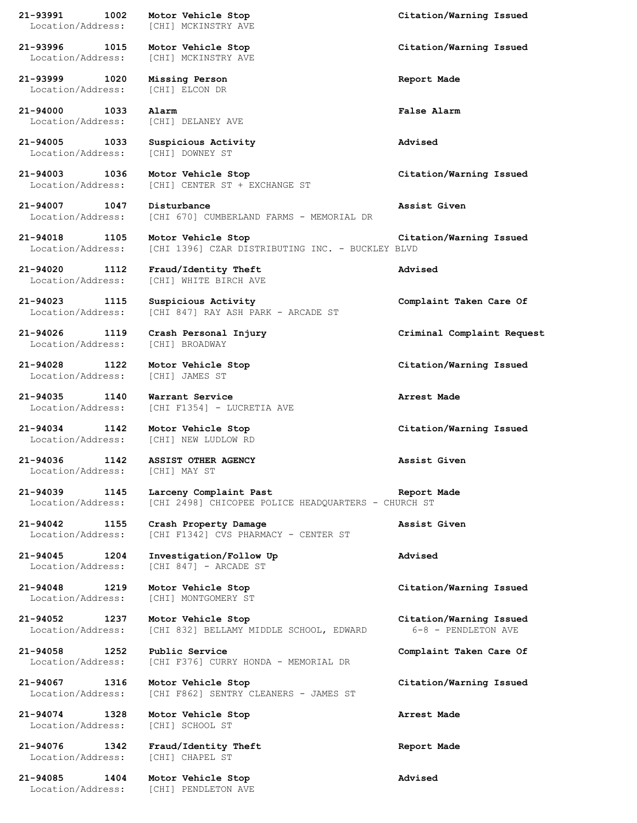| 1002<br>21-93991<br>Location/Address:     | Motor Vehicle Stop<br>[CHI] MCKINSTRY AVE                                     | Citation/Warning Issued                        |
|-------------------------------------------|-------------------------------------------------------------------------------|------------------------------------------------|
| 21-93996 1015<br>Location/Address:        | Motor Vehicle Stop<br>[CHI] MCKINSTRY AVE                                     | Citation/Warning Issued                        |
| 21-93999<br>1020<br>Location/Address:     | Missing Person<br>[CHI] ELCON DR                                              | Report Made                                    |
| 21-94000<br>1033<br>Location/Address:     | Alarm<br>[CHI] DELANEY AVE                                                    | False Alarm                                    |
| 21-94005<br>1033<br>Location/Address:     | Suspicious Activity<br>[CHI] DOWNEY ST                                        | Advised                                        |
| 21-94003<br>1036<br>Location/Address:     | Motor Vehicle Stop<br>[CHI] CENTER ST + EXCHANGE ST                           | Citation/Warning Issued                        |
| 21-94007<br>1047<br>Location/Address:     | Disturbance<br>[CHI 670] CUMBERLAND FARMS - MEMORIAL DR                       | Assist Given                                   |
| 21-94018<br>1105<br>Location/Address:     | Motor Vehicle Stop<br>[CHI 1396] CZAR DISTRIBUTING INC. - BUCKLEY BLVD        | Citation/Warning Issued                        |
| 1112<br>21-94020<br>Location/Address:     | Fraud/Identity Theft<br>[CHI] WHITE BIRCH AVE                                 | Advised                                        |
| 21-94023<br>1115<br>Location/Address:     | Suspicious Activity<br>[CHI 847] RAY ASH PARK - ARCADE ST                     | Complaint Taken Care Of                        |
| 1119<br>21-94026<br>Location/Address:     | Crash Personal Injury<br>[CHI] BROADWAY                                       | Criminal Complaint Request                     |
| 21-94028<br>1122<br>Location/Address:     | Motor Vehicle Stop<br>[CHI] JAMES ST                                          | Citation/Warning Issued                        |
| 21-94035<br>1140<br>Location/Address:     | Warrant Service<br>[CHI F1354] - LUCRETIA AVE                                 | Arrest Made                                    |
| $21 - 94034$<br>1142<br>Location/Address: | Motor Vehicle Stop<br>[CHI] NEW LUDLOW RD                                     | Citation/Warning Issued                        |
| 21-94036<br>1142<br>Location/Address:     | <b>ASSIST OTHER AGENCY</b><br>[CHI] MAY ST                                    | Assist Given                                   |
| 21-94039<br>1145<br>Location/Address:     | Larceny Complaint Past<br>[CHI 2498] CHICOPEE POLICE HEADQUARTERS - CHURCH ST | Report Made                                    |
| 21-94042<br>1155<br>Location/Address:     | Crash Property Damage<br>[CHI F1342] CVS PHARMACY - CENTER ST                 | Assist Given                                   |
| 21-94045 1204<br>Location/Address:        | Investigation/Follow Up<br>[CHI 847] - ARCADE ST                              | Advised                                        |
| 1219<br>21-94048<br>Location/Address:     | Motor Vehicle Stop<br>[CHI] MONTGOMERY ST                                     | Citation/Warning Issued                        |
| 21-94052 1237<br>Location/Address:        | Motor Vehicle Stop<br>[CHI 832] BELLAMY MIDDLE SCHOOL, EDWARD                 | Citation/Warning Issued<br>6-8 - PENDLETON AVE |
| 21-94058<br>1252<br>Location/Address:     | Public Service<br>[CHI F376] CURRY HONDA - MEMORIAL DR                        | Complaint Taken Care Of                        |
| 21-94067 1316<br>Location/Address:        | Motor Vehicle Stop<br>[CHI F862] SENTRY CLEANERS - JAMES ST                   | Citation/Warning Issued                        |
| 21-94074<br>1328<br>Location/Address:     | Motor Vehicle Stop<br>[CHI] SCHOOL ST                                         | Arrest Made                                    |
| 21-94076<br>1342<br>Location/Address:     | Fraud/Identity Theft<br>[CHI] CHAPEL ST                                       | Report Made                                    |
| 21-94085<br>1404<br>Location/Address:     | Motor Vehicle Stop<br>[CHI] PENDLETON AVE                                     | Advised                                        |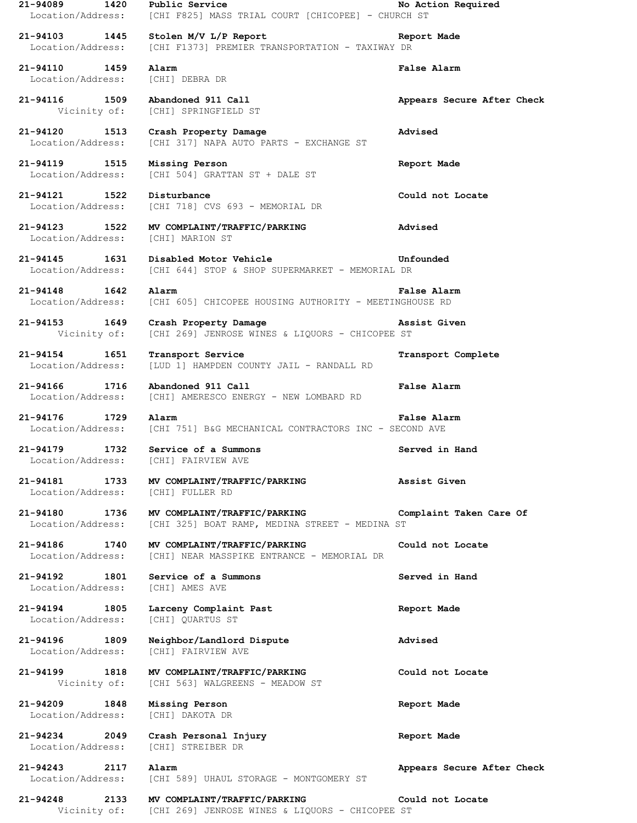| 21-94089<br>1420<br>Location/Address:     | Public Service<br>[CHI F825] MASS TRIAL COURT [CHICOPEE] - CHURCH ST           | No Action Required         |
|-------------------------------------------|--------------------------------------------------------------------------------|----------------------------|
| 21-94103 1445<br>Location/Address:        | Stolen M/V L/P Report<br>[CHI F1373] PREMIER TRANSPORTATION - TAXIWAY DR       | Report Made                |
| 21-94110 1459<br>Location/Address:        | Alarm<br>[CHI] DEBRA DR                                                        | False Alarm                |
| 21-94116<br>1509<br>Vicinity of:          | Abandoned 911 Call<br>[CHI] SPRINGFIELD ST                                     | Appears Secure After Check |
| 21-94120<br>1513<br>Location/Address:     | Crash Property Damage<br>[CHI 317] NAPA AUTO PARTS - EXCHANGE ST               | Advised                    |
| 21-94119 1515<br>Location/Address:        | Missing Person<br>[CHI 504] GRATTAN ST + DALE ST                               | Report Made                |
| 21-94121 1522<br>Location/Address:        | Disturbance<br>[CHI 718] CVS 693 - MEMORIAL DR                                 | Could not Locate           |
| 21-94123 1522<br>Location/Address:        | MV COMPLAINT/TRAFFIC/PARKING<br>[CHI] MARION ST                                | Advised                    |
| $21 - 94145$<br>1631<br>Location/Address: | Disabled Motor Vehicle<br>[CHI 644] STOP & SHOP SUPERMARKET - MEMORIAL DR      | Unfounded                  |
| $21 - 94148$<br>1642<br>Location/Address: | Alarm<br>[CHI 605] CHICOPEE HOUSING AUTHORITY - MEETINGHOUSE RD                | False Alarm                |
| 21-94153<br>1649<br>Vicinity of:          | Crash Property Damage<br>[CHI 269] JENROSE WINES & LIQUORS - CHICOPEE ST       | Assist Given               |
| $21 - 94154$<br>1651<br>Location/Address: | Transport Service<br>[LUD 1] HAMPDEN COUNTY JAIL - RANDALL RD                  | Transport Complete         |
| 21-94166<br>1716<br>Location/Address:     | Abandoned 911 Call<br>[CHI] AMERESCO ENERGY - NEW LOMBARD RD                   | False Alarm                |
|                                           | Alarm                                                                          | False Alarm                |
| 21-94176<br>1729<br>Location/Address:     | [CHI 751] B&G MECHANICAL CONTRACTORS INC - SECOND AVE                          |                            |
| 21-94179<br>1732<br>Location/Address:     | Service of a Summons<br>[CHI] FAIRVIEW AVE                                     | Served in Hand             |
| 21-94181<br>1733<br>Location/Address:     | MV COMPLAINT/TRAFFIC/PARKING<br>[CHI] FULLER RD                                | Assist Given               |
| 21-94180 1736<br>Location/Address:        | MV COMPLAINT/TRAFFIC/PARKING<br>[CHI 325] BOAT RAMP, MEDINA STREET - MEDINA ST | Complaint Taken Care Of    |
| 21-94186 1740<br>Location/Address:        | MV COMPLAINT/TRAFFIC/PARKING<br>[CHI] NEAR MASSPIKE ENTRANCE - MEMORIAL DR     | Could not Locate           |
| 21-94192<br>1801<br>Location/Address:     | Service of a Summons<br>[CHI] AMES AVE                                         | Served in Hand             |
| $21 - 94194$<br>1805<br>Location/Address: | Larceny Complaint Past<br>[CHI] QUARTUS ST                                     | Report Made                |
| 21-94196 1809<br>Location/Address:        | Neighbor/Landlord Dispute<br>[CHI] FAIRVIEW AVE                                | Advised                    |
| 21-94199 1818<br>Vicinity of:             | MV COMPLAINT/TRAFFIC/PARKING<br>[CHI 563] WALGREENS - MEADOW ST                | Could not Locate           |
| 21-94209<br>1848<br>Location/Address:     | Missing Person<br>[CHI] DAKOTA DR                                              | Report Made                |
| 21-94234<br>2049<br>Location/Address:     | Crash Personal Injury<br>[CHI] STREIBER DR                                     | Report Made                |
| 21-94243 2117<br>Location/Address:        | Alarm<br>[CHI 589] UHAUL STORAGE - MONTGOMERY ST                               | Appears Secure After Check |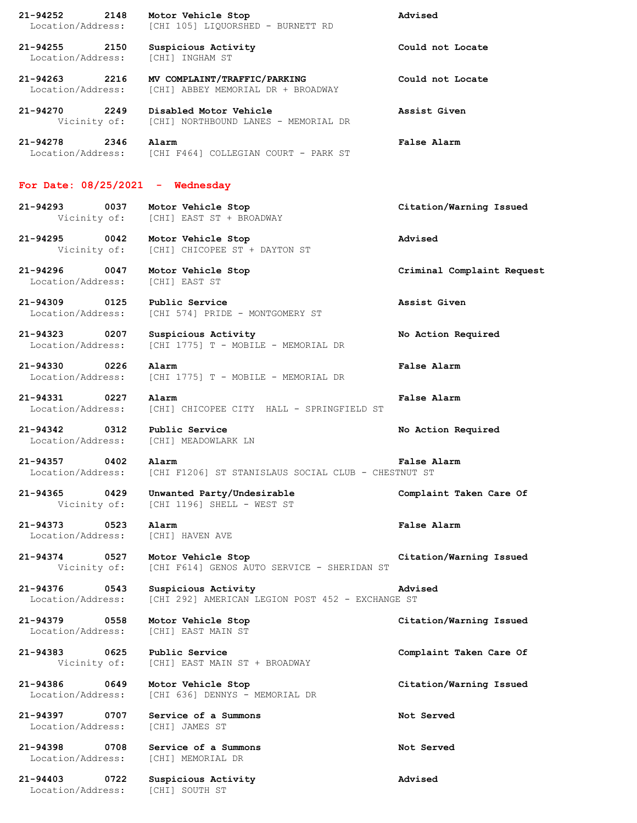**21-94252 2148 Motor Vehicle Stop Advised** Location/Address: [CHI 105] LIQUORSHED - BURNETT RD **21-94255 2150 Suspicious Activity Could not Locate** Location/Address: [CHI] INGHAM ST **21-94263 2216 MV COMPLAINT/TRAFFIC/PARKING Could not Locate** Location/Address: [CHI] ABBEY MEMORIAL DR + BROADWAY **21-94270 2249 Disabled Motor Vehicle Assist Given** Vicinity of: [CHI] NORTHBOUND LANES - MEMORIAL DR **21-94278 2346 Alarm False Alarm** Location/Address: [CHI F464] COLLEGIAN COURT - PARK ST **For Date: 08/25/2021 - Wednesday 21-94293 0037 Motor Vehicle Stop Citation/Warning Issued** Vicinity of: [CHI] EAST ST + BROADWAY **21-94295 0042 Motor Vehicle Stop Advised** Vicinity of: [CHI] CHICOPEE ST + DAYTON ST **21-94296 0047 Motor Vehicle Stop Criminal Complaint Request** Location/Address: [CHI] EAST ST **21-94309 0125 Public Service Assist Given** Location/Address: [CHI 574] PRIDE - MONTGOMERY ST **21-94323 0207 Suspicious Activity No Action Required** Location/Address: [CHI 1775] T - MOBILE - MEMORIAL DR **21-94330 0226 Alarm False Alarm** Location/Address: [CHI 1775] T - MOBILE - MEMORIAL DR **21-94331 0227 Alarm False Alarm** Location/Address: [CHI] CHICOPEE CITY HALL - SPRINGFIELD ST **21-94342 0312 Public Service No Action Required** Location/Address: [CHI] MEADOWLARK LN **21-94357 0402 Alarm False Alarm** [CHI F1206] ST STANISLAUS SOCIAL CLUB - CHESTNUT ST **21-94365 0429 Unwanted Party/Undesirable Complaint Taken Care Of** Vicinity of: [CHI 1196] SHELL - WEST ST **21-94373 0523 Alarm False Alarm** Location/Address: [CHI] HAVEN AVE **21-94374 0527 Motor Vehicle Stop Citation/Warning Issued** Vicinity of: [CHI F614] GENOS AUTO SERVICE - SHERIDAN ST **21-94376 0543 Suspicious Activity Advised** Location/Address: [CHI 292] AMERICAN LEGION POST 452 - EXCHANGE ST **21-94379 0558 Motor Vehicle Stop Citation/Warning Issued** Location/Address: [CHI] EAST MAIN ST **21-94383 0625 Public Service Complaint Taken Care Of** Vicinity of: [CHI] EAST MAIN ST + BROADWAY **21-94386 0649 Motor Vehicle Stop Citation/Warning Issued** Location/Address: [CHI 636] DENNYS - MEMORIAL DR **21-94397 0707 Service of a Summons Not Served** Location/Address: [CHI] JAMES ST **21-94398 0708 Service of a Summons Not Served** Location/Address: [CHI] MEMORIAL DR **21-94403 0722 Suspicious Activity Advised** Location/Address: [CHI] SOUTH ST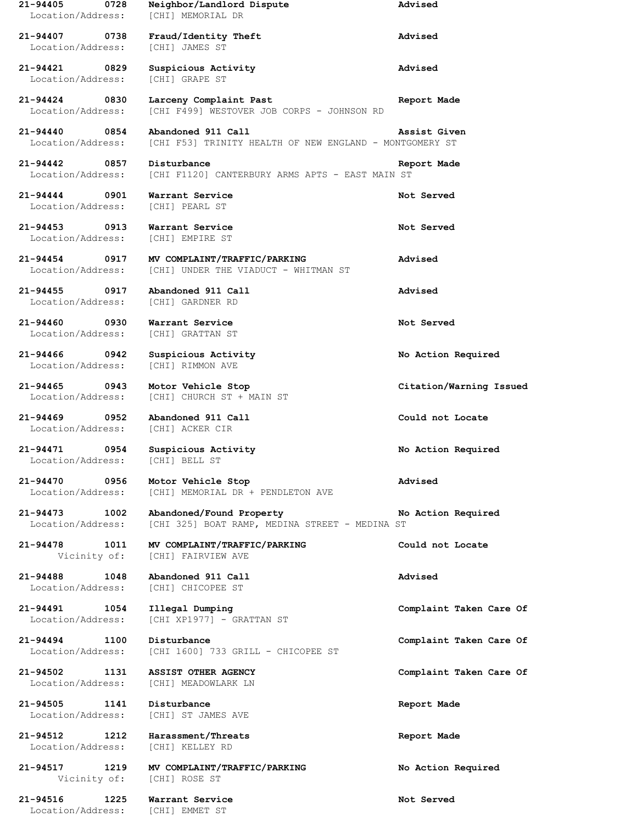| 21-94405<br>0728<br>Location/Address:     | Neighbor/Landlord Dispute<br>[CHI] MEMORIAL DR                                | Advised                 |
|-------------------------------------------|-------------------------------------------------------------------------------|-------------------------|
| $21 - 94407$<br>0738<br>Location/Address: | Fraud/Identity Theft<br>[CHI] JAMES ST                                        | Advised                 |
| 21-94421<br>0829<br>Location/Address:     | Suspicious Activity<br>[CHI] GRAPE ST                                         | Advised                 |
| 21-94424<br>0830<br>Location/Address:     | Larceny Complaint Past<br>[CHI F499] WESTOVER JOB CORPS - JOHNSON RD          | Report Made             |
| $21 - 94440$<br>0854<br>Location/Address: | Abandoned 911 Call<br>[CHI F53] TRINITY HEALTH OF NEW ENGLAND - MONTGOMERY ST | Assist Given            |
| $21 - 94442$<br>0857<br>Location/Address: | Disturbance<br>[CHI F1120] CANTERBURY ARMS APTS - EAST MAIN ST                | Report Made             |
| $21 - 94444$<br>0901<br>Location/Address: | Warrant Service<br>[CHI] PEARL ST                                             | Not Served              |
| $21 - 94453$<br>0913<br>Location/Address: | Warrant Service<br>[CHI] EMPIRE ST                                            | Not Served              |
| $21 - 94454$<br>0917<br>Location/Address: | MV COMPLAINT/TRAFFIC/PARKING<br>[CHI] UNDER THE VIADUCT - WHITMAN ST          | Advised                 |
| $21 - 94455$<br>0917<br>Location/Address: | Abandoned 911 Call<br>[CHI] GARDNER RD                                        | Advised                 |
| $21 - 94460$<br>0930<br>Location/Address: | Warrant Service<br>[CHI] GRATTAN ST                                           | Not Served              |
| 21-94466<br>0942<br>Location/Address:     | Suspicious Activity<br>[CHI] RIMMON AVE                                       | No Action Required      |
| $21 - 94465$<br>0943<br>Location/Address: | Motor Vehicle Stop<br>[CHI] CHURCH ST + MAIN ST                               | Citation/Warning Issued |
| 21-94469<br>0952<br>Location/Address:     | Abandoned 911 Call<br>[CHI] ACKER CIR                                         | Could not Locate        |
| 21-94471<br>0954<br>Location/Address:     | Suspicious Activity<br>[CHI] BELL ST                                          | No Action Required      |
| 21-94470 0956<br>Location/Address:        | Motor Vehicle Stop<br>[CHI] MEMORIAL DR + PENDLETON AVE                       | Advised                 |
| 21-94473 1002<br>Location/Address:        | Abandoned/Found Property<br>[CHI 325] BOAT RAMP, MEDINA STREET - MEDINA ST    | No Action Required      |
| 21-94478 1011<br>Vicinity of:             | MV COMPLAINT/TRAFFIC/PARKING<br>[CHI] FAIRVIEW AVE                            | Could not Locate        |
| $21 - 94488$<br>1048<br>Location/Address: | Abandoned 911 Call<br>[CHI] CHICOPEE ST                                       | Advised                 |
| 21-94491 1054<br>Location/Address:        | Illegal Dumping<br>[CHI XP1977] - GRATTAN ST                                  | Complaint Taken Care Of |
| 21-94494 1100<br>Location/Address:        | Disturbance<br>[CHI 1600] 733 GRILL - CHICOPEE ST                             | Complaint Taken Care Of |
| 21-94502 1131<br>Location/Address:        | ASSIST OTHER AGENCY<br>[CHI] MEADOWLARK LN                                    | Complaint Taken Care Of |
| 21-94505 1141<br>Location/Address:        | Disturbance<br>[CHI] ST JAMES AVE                                             | Report Made             |
| 21-94512 1212<br>Location/Address:        | Harassment/Threats<br>[CHI] KELLEY RD                                         | Report Made             |
| 21-94517 1219<br>Vicinity of:             | MV COMPLAINT/TRAFFIC/PARKING<br>[CHI] ROSE ST                                 | No Action Required      |
| $21 - 94516$<br>1225<br>Location/Address: | Warrant Service<br>[CHI] EMMET ST                                             | Not Served              |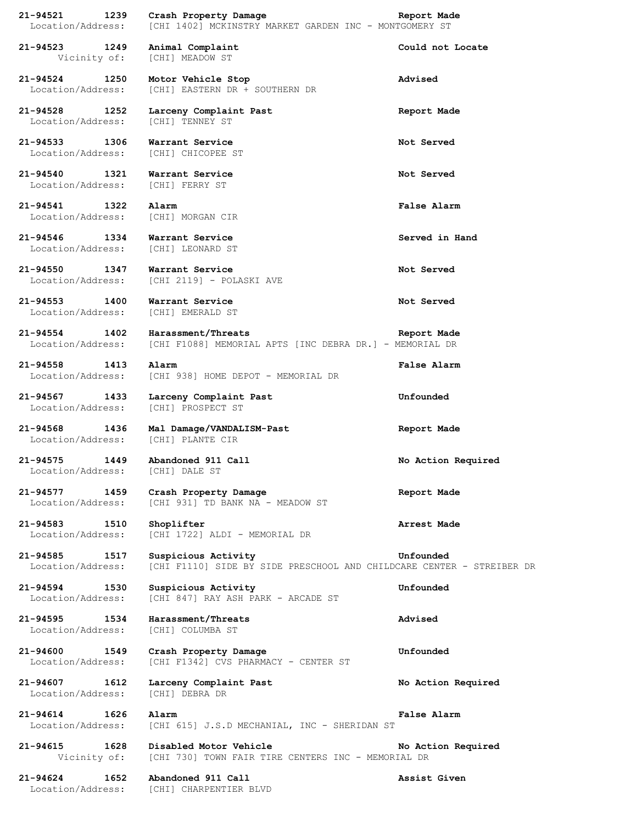| $21 - 94521$<br>1239<br>Location/Address: | Crash Property Damage<br>[CHI 1402] MCKINSTRY MARKET GARDEN INC - MONTGOMERY ST              | Report Made        |
|-------------------------------------------|----------------------------------------------------------------------------------------------|--------------------|
| 21-94523<br>1249<br>Vicinity of:          | Animal Complaint<br>[CHI] MEADOW ST                                                          | Could not Locate   |
| 21-94524 1250<br>Location/Address:        | Motor Vehicle Stop<br>[CHI] EASTERN DR + SOUTHERN DR                                         | Advised            |
| 21-94528<br>1252<br>Location/Address:     | Larceny Complaint Past<br>[CHI] TENNEY ST                                                    | Report Made        |
| $21 - 94533$<br>1306                      | Warrant Service<br>Location/Address: [CHI] CHICOPEE ST                                       | Not Served         |
| 21-94540<br>1321<br>Location/Address:     | Warrant Service<br>[CHI] FERRY ST                                                            | Not Served         |
| 21-94541<br>1322                          | Alarm<br>Location/Address: [CHI] MORGAN CIR                                                  | False Alarm        |
| 21-94546<br>1334<br>Location/Address:     | Warrant Service<br>[CHI] LEONARD ST                                                          | Served in Hand     |
| 21-94550 1347<br>Location/Address:        | Warrant Service<br>[CHI 2119] - POLASKI AVE                                                  | Not Served         |
| 21-94553<br>1400<br>Location/Address:     | Warrant Service<br>[CHI] EMERALD ST                                                          | Not Served         |
| 21-94554 1402<br>Location/Address:        | Harassment/Threats<br>[CHI F1088] MEMORIAL APTS [INC DEBRA DR.] - MEMORIAL DR                | Report Made        |
| 1413<br>21-94558<br>Location/Address:     | Alarm<br>[CHI 938] HOME DEPOT - MEMORIAL DR                                                  | False Alarm        |
| 21-94567<br>1433<br>Location/Address:     | Larceny Complaint Past<br>[CHI] PROSPECT ST                                                  | Unfounded          |
| 21-94568<br>1436<br>Location/Address:     | Mal Damage/VANDALISM-Past<br>[CHI] PLANTE CIR                                                | Report Made        |
| 21-94575<br>1449<br>Location/Address:     | Abandoned 911 Call<br>[CHI] DALE ST                                                          | No Action Required |
| 21-94577<br>1459<br>Location/Address:     | Crash Property Damage<br>[CHI 931] TD BANK NA - MEADOW ST                                    | Report Made        |
| 21-94583<br>1510<br>Location/Address:     | Shoplifter<br>[CHI 1722] ALDI - MEMORIAL DR                                                  | Arrest Made        |
| 21-94585<br>1517<br>Location/Address:     | Suspicious Activity<br>[CHI F1110] SIDE BY SIDE PRESCHOOL AND CHILDCARE CENTER - STREIBER DR | Unfounded          |
| 21-94594<br>1530<br>Location/Address:     | Suspicious Activity<br>[CHI 847] RAY ASH PARK - ARCADE ST                                    | Unfounded          |
| 21-94595<br>1534<br>Location/Address:     | Harassment/Threats<br>[CHI] COLUMBA ST                                                       | Advised            |
| 21-94600<br>1549<br>Location/Address:     | Crash Property Damage<br>[CHI F1342] CVS PHARMACY - CENTER ST                                | Unfounded          |
| 21-94607<br>1612<br>Location/Address:     | Larceny Complaint Past<br>[CHI] DEBRA DR                                                     | No Action Required |
| 21-94614<br>1626<br>Location/Address:     | Alarm<br>[CHI 615] J.S.D MECHANIAL, INC - SHERIDAN ST                                        | False Alarm        |
| 21-94615<br>1628<br>Vicinity of:          | Disabled Motor Vehicle<br>[CHI 730] TOWN FAIR TIRE CENTERS INC - MEMORIAL DR                 | No Action Required |
| 21-94624<br>1652                          | Abandoned 911 Call                                                                           | Assist Given       |

Location/Address: [CHI] CHARPENTIER BLVD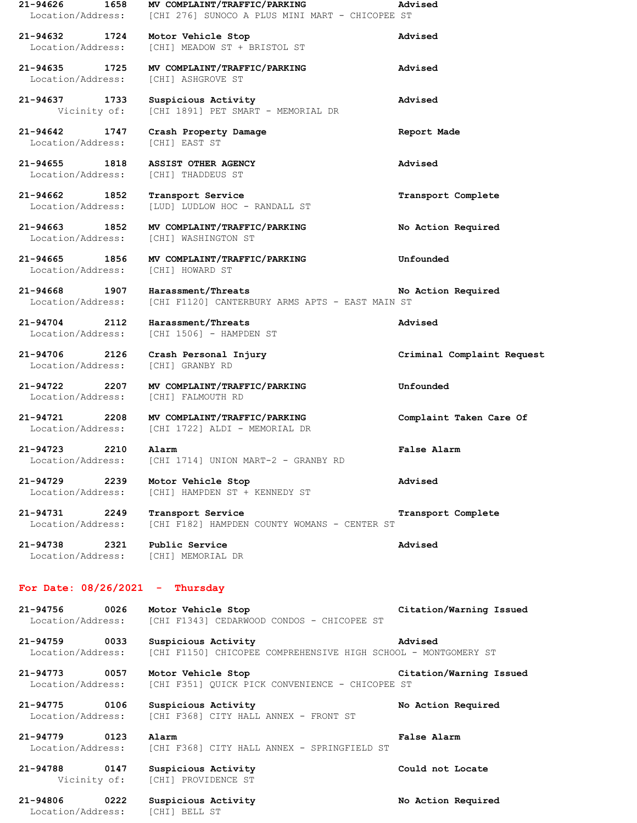| $21 - 94626$<br>1658<br>Location/Address: | MV COMPLAINT/TRAFFIC/PARKING<br>[CHI 276] SUNOCO A PLUS MINI MART - CHICOPEE ST       | Advised                    |
|-------------------------------------------|---------------------------------------------------------------------------------------|----------------------------|
| 21-94632 1724<br>Location/Address:        | Motor Vehicle Stop<br>[CHI] MEADOW ST + BRISTOL ST                                    | Advised                    |
| 21-94635 1725<br>Location/Address:        | MV COMPLAINT/TRAFFIC/PARKING<br>[CHI] ASHGROVE ST                                     | Advised                    |
| 21-94637 1733<br>Vicinity of:             | Suspicious Activity<br>[CHI 1891] PET SMART - MEMORIAL DR                             | Advised                    |
| 21-94642 1747<br>Location/Address:        | Crash Property Damage<br>[CHI] EAST ST                                                | Report Made                |
| 21-94655 1818<br>Location/Address:        | <b>ASSIST OTHER AGENCY</b><br>[CHI] THADDEUS ST                                       | Advised                    |
| 21-94662 1852<br>Location/Address:        | Transport Service<br>[LUD] LUDLOW HOC - RANDALL ST                                    | Transport Complete         |
| 21-94663 1852<br>Location/Address:        | MV COMPLAINT/TRAFFIC/PARKING<br>[CHI] WASHINGTON ST                                   | No Action Required         |
| 21-94665 1856<br>Location/Address:        | MV COMPLAINT/TRAFFIC/PARKING<br>[CHI] HOWARD ST                                       | Unfounded                  |
| 21-94668 1907<br>Location/Address:        | Harassment/Threats<br>[CHI F1120] CANTERBURY ARMS APTS - EAST MAIN ST                 | No Action Required         |
| 21-94704 2112<br>Location/Address:        | Harassment/Threats<br>[CHI 1506] - HAMPDEN ST                                         | Advised                    |
| 21-94706 2126<br>Location/Address:        | Crash Personal Injury<br>[CHI] GRANBY RD                                              | Criminal Complaint Request |
| 21-94722 2207<br>Location/Address:        | MV COMPLAINT/TRAFFIC/PARKING<br>[CHI] FALMOUTH RD                                     | Unfounded                  |
| 21-94721 2208<br>Location/Address:        | MV COMPLAINT/TRAFFIC/PARKING<br>[CHI 1722] ALDI - MEMORIAL DR                         | Complaint Taken Care Of    |
| 21-94723<br>2210<br>Location/Address:     | Alarm<br>[CHI 1714] UNION MART-2 - GRANBY RD                                          | False Alarm                |
| 21-94729 2239<br>Location/Address:        | Motor Vehicle Stop<br>[CHI] HAMPDEN ST + KENNEDY ST                                   | Advised                    |
| 21-94731 2249<br>Location/Address:        | Transport Service<br>[CHI F182] HAMPDEN COUNTY WOMANS - CENTER ST                     | Transport Complete         |
| 21-94738<br>2321<br>Location/Address:     | Public Service<br>[CHI] MEMORIAL DR                                                   | Advised                    |
|                                           | For Date: $08/26/2021$ - Thursday                                                     |                            |
| 21-94756<br>0026<br>Location/Address:     | Motor Vehicle Stop<br>[CHI F1343] CEDARWOOD CONDOS - CHICOPEE ST                      | Citation/Warning Issued    |
| 21-94759<br>0033<br>Location/Address:     | Suspicious Activity<br>[CHI F1150] CHICOPEE COMPREHENSIVE HIGH SCHOOL - MONTGOMERY ST | Advised                    |
| 21-94773<br>0057<br>Location/Address:     | Motor Vehicle Stop<br>[CHI F351] QUICK PICK CONVENIENCE - CHICOPEE ST                 | Citation/Warning Issued    |
| 21-94775<br>0106<br>Location/Address:     | Suspicious Activity<br>[CHI F368] CITY HALL ANNEX - FRONT ST                          | No Action Required         |
| 21-94779<br>0123<br>Location/Address:     | Alarm<br>[CHI F368] CITY HALL ANNEX - SPRINGFIELD ST                                  | False Alarm                |
| 21-94788 0147<br>Vicinity of:             | Suspicious Activity<br>[CHI] PROVIDENCE ST                                            | Could not Locate           |
| 21-94806<br>0222<br>Location/Address:     | Suspicious Activity<br>[CHI] BELL ST                                                  | No Action Required         |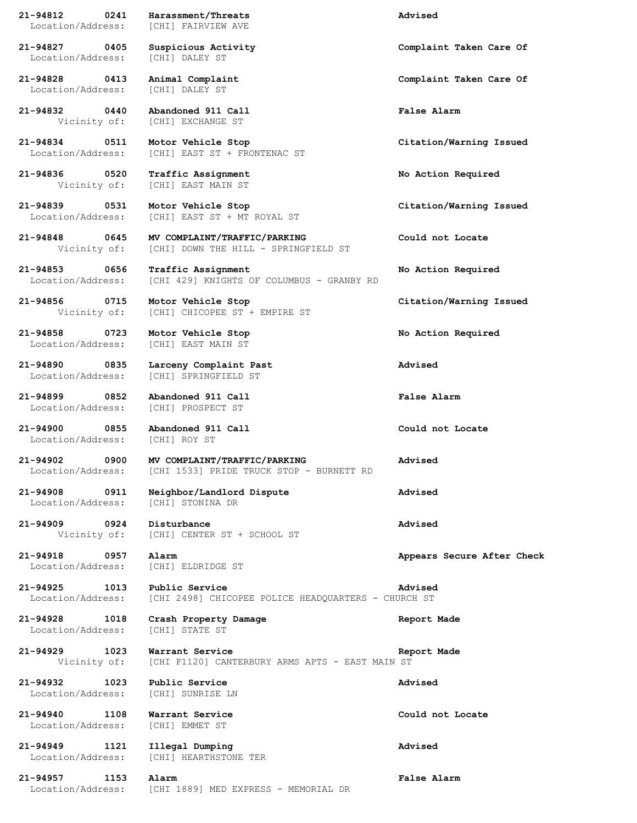Location/Address: [CHI] FAIRVIEW AVE **21-94827 0405 Suspicious Activity Complaint Taken Care Of** Location/Address: [CHI] DALEY ST **21-94828 0413 Animal Complaint Complaint Taken Care Of** Location/Address: [CHI] DALEY ST **21-94832 0440 Abandoned 911 Call False Alarm** Vicinity of: [CHI] EXCHANGE ST **21-94834 0511 Motor Vehicle Stop Citation/Warning Issued** Location/Address: [CHI] EAST ST + FRONTENAC ST **21-94836 0520 Traffic Assignment No Action Required** Vicinity of: [CHI] EAST MAIN ST **21-94839 0531 Motor Vehicle Stop Citation/Warning Issued** Location/Address: [CHI] EAST ST + MT ROYAL ST **21-94848 0645 MV COMPLAINT/TRAFFIC/PARKING Could not Locate** Vicinity of: [CHI] DOWN THE HILL - SPRINGFIELD ST **21-94853 0656 Traffic Assignment No Action Required** Location/Address: [CHI 429] KNIGHTS OF COLUMBUS - GRANBY RD **21-94856 0715 Motor Vehicle Stop Citation/Warning Issued** Vicinity of: [CHI] CHICOPEE ST + EMPIRE ST **21-94858 0723 Motor Vehicle Stop No Action Required** Location/Address: [CHI] EAST MAIN ST **21-94890 0835 Larceny Complaint Past Advised** Location/Address: [CHI] SPRINGFIELD ST **21-94899 0852 Abandoned 911 Call False Alarm** Location/Address: [CHI] PROSPECT ST **21-94900 0855 Abandoned 911 Call Could not Locate** Location/Address: [CHI] ROY ST **21-94902 0900 MV COMPLAINT/TRAFFIC/PARKING Advised** Location/Address: [CHI 1533] PRIDE TRUCK STOP - BURNETT RD **21-94908 0911 Neighbor/Landlord Dispute Advised** Location/Address: [CHI] STONINA DR **21-94909 0924 Disturbance Advised** Vicinity of: [CHI] CENTER ST + SCHOOL ST **21-94918 0957 Alarm Appears Secure After Check** Location/Address: [CHI] ELDRIDGE ST **21-94925 1013 Public Service Advised** Location/Address: [CHI 2498] CHICOPEE POLICE HEADQUARTERS - CHURCH ST **21-94928 1018 Crash Property Damage Report Made** Location/Address: [CHI] STATE ST **21-94929 1023 Warrant Service Report Made** Vicinity of: [CHI F1120] CANTERBURY ARMS APTS - EAST MAIN ST **21-94932 1023 Public Service Advised** Location/Address: [CHI] SUNRISE LN **21-94940 1108 Warrant Service Could not Locate** Location/Address: [CHI] EMMET ST **21-94949 1121 Illegal Dumping Advised** Location/Address: [CHI] HEARTHSTONE TER

**21-94812 0241 Harassment/Threats Advised**

**21-94957 1153 Alarm False Alarm** Location/Address: [CHI 1889] MED EXPRESS - MEMORIAL DR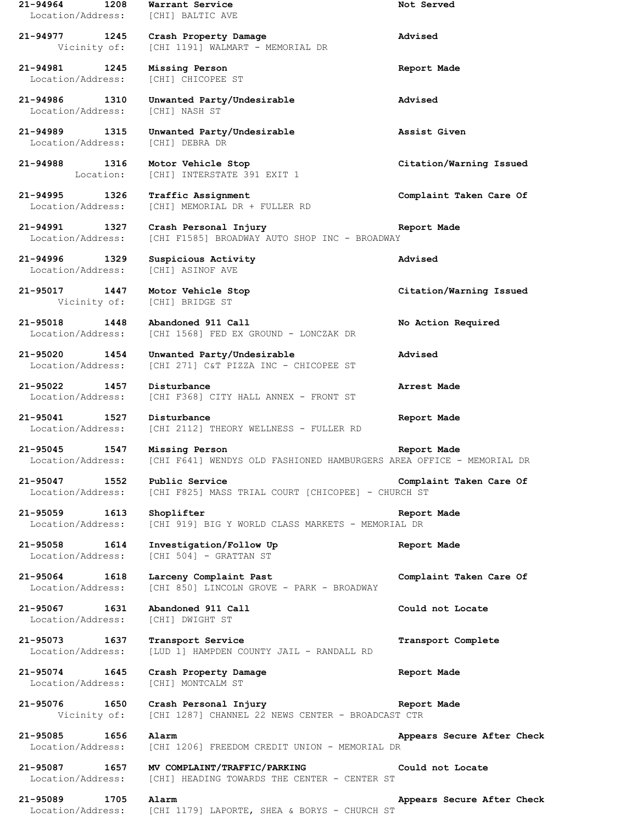**21-94964 1208 Warrant Service Not Served** Location/Address: [CHI] BALTIC AVE **21-94977 1245 Crash Property Damage Advised** Vicinity of: [CHI 1191] WALMART - MEMORIAL DR **21-94981 1245 Missing Person Report Made** Location/Address: [CHI] CHICOPEE ST **21-94986 1310 Unwanted Party/Undesirable Advised** Location/Address: [CHI] NASH ST **21-94989 1315 Unwanted Party/Undesirable Assist Given** Location/Address: [CHI] DEBRA DR **21-94988 1316 Motor Vehicle Stop Citation/Warning Issued** Location: [CHI] INTERSTATE 391 EXIT 1 **21-94995 1326 Traffic Assignment Complaint Taken Care Of** Location/Address: [CHI] MEMORIAL DR + FULLER RD **21-94991 1327 Crash Personal Injury Report Made** Location/Address: [CHI F1585] BROADWAY AUTO SHOP INC - BROADWAY **21-94996 1329 Suspicious Activity Advised** Location/Address: [CHI] ASINOF AVE **21-95017 1447 Motor Vehicle Stop Citation/Warning Issued** Vicinity of: [CHI] BRIDGE ST **21-95018 1448 Abandoned 911 Call No Action Required** Location/Address: [CHI 1568] FED EX GROUND - LONCZAK DR **21-95020 1454 Unwanted Party/Undesirable Advised** Location/Address: [CHI 271] C&T PIZZA INC - CHICOPEE ST **21-95022 1457 Disturbance Arrest Made** Location/Address: [CHI F368] CITY HALL ANNEX - FRONT ST **21-95041 1527 Disturbance Report Made** Location/Address: [CHI 2112] THEORY WELLNESS - FULLER RD **21-95045 1547 Missing Person Report Made** Location/Address: [CHI F641] WENDYS OLD FASHIONED HAMBURGERS AREA OFFICE - MEMORIAL DR **21-95047 1552 Public Service Complaint Taken Care Of** Location/Address: [CHI F825] MASS TRIAL COURT [CHICOPEE] - CHURCH ST **21-95059 1613 Shoplifter Report Made** Location/Address: [CHI 919] BIG Y WORLD CLASS MARKETS - MEMORIAL DR **21-95058 1614 Investigation/Follow Up Report Made** Location/Address: [CHI 504] - GRATTAN ST **21-95064 1618 Larceny Complaint Past Complaint Taken Care Of** Location/Address: [CHI 850] LINCOLN GROVE - PARK - BROADWAY **21-95067 1631 Abandoned 911 Call Could not Locate** Location/Address: [CHI] DWIGHT ST **21-95073 1637 Transport Service Transport Complete** Location/Address: [LUD 1] HAMPDEN COUNTY JAIL - RANDALL RD **21-95074 1645 Crash Property Damage Report Made** Location/Address: [CHI] MONTCALM ST **21-95076 1650 Crash Personal Injury Report Made** Vicinity of: [CHI 1287] CHANNEL 22 NEWS CENTER - BROADCAST CTR **21-95085 1656 Alarm Appears Secure After Check** Location/Address: [CHI 1206] FREEDOM CREDIT UNION - MEMORIAL DR **21-95087 1657 MV COMPLAINT/TRAFFIC/PARKING Could not Locate** Location/Address: [CHI] HEADING TOWARDS THE CENTER - CENTER ST **21-95089 1705 Alarm Appears Secure After Check** Location/Address: [CHI 1179] LAPORTE, SHEA & BORYS - CHURCH ST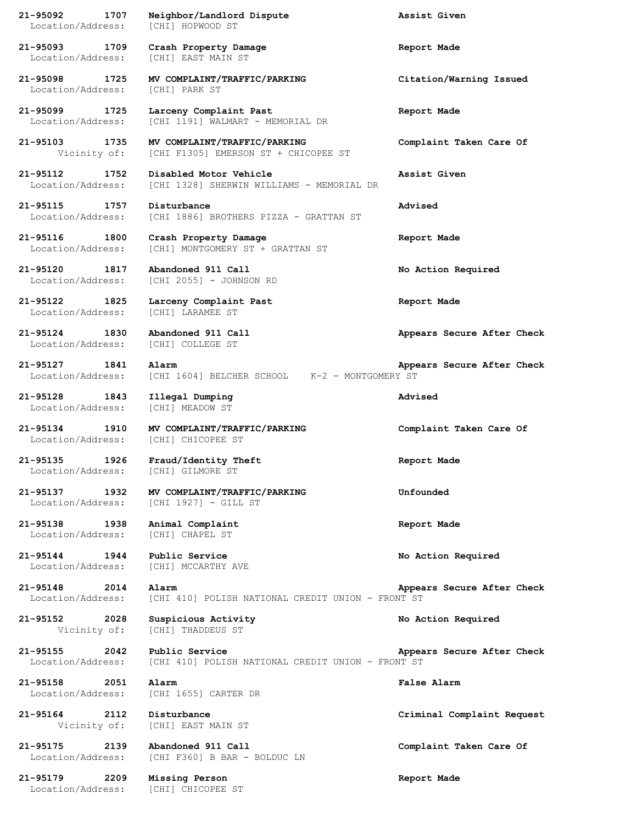**21-95092 1707 Neighbor/Landlord Dispute Assist Given** Location/Address: [CHI] HOPWOOD ST **21-95093 1709 Crash Property Damage Report Made** Location/Address: [CHI] EAST MAIN ST **21-95098 1725 MV COMPLAINT/TRAFFIC/PARKING Citation/Warning Issued** Location/Address: [CHI] PARK ST **21-95099 1725 Larceny Complaint Past Report Made** Location/Address: [CHI 1191] WALMART - MEMORIAL DR **21-95103 1735 MV COMPLAINT/TRAFFIC/PARKING Complaint Taken Care Of** Vicinity of: [CHI F1305] EMERSON ST + CHICOPEE ST **21-95112 1752 Disabled Motor Vehicle Assist Given** Location/Address: [CHI 1328] SHERWIN WILLIAMS - MEMORIAL DR **21-95115 1757 Disturbance Advised** Location/Address: [CHI 1886] BROTHERS PIZZA - GRATTAN ST **21-95116 1800 Crash Property Damage Report Made** Location/Address: [CHI] MONTGOMERY ST + GRATTAN ST **21-95120 1817 Abandoned 911 Call No Action Required** Location/Address: [CHI 2055] - JOHNSON RD **21-95122 1825 Larceny Complaint Past Report Made** Location/Address: [CHI] LARAMEE ST **21-95124 1830 Abandoned 911 Call Appears Secure After Check** Location/Address: [CHI] COLLEGE ST **21-95127 1841 Alarm Appears Secure After Check** Location/Address: [CHI 1604] BELCHER SCHOOL K-2 - MONTGOMERY ST **21-95128 1843 Illegal Dumping Advised** Location/Address: [CHI] MEADOW ST **21-95134 1910 MV COMPLAINT/TRAFFIC/PARKING Complaint Taken Care Of** Location/Address: [CHI] CHICOPEE ST **21-95135 1926 Fraud/Identity Theft Report Made** Location/Address: [CHI] GILMORE ST **21-95137 1932 MV COMPLAINT/TRAFFIC/PARKING Unfounded** Location/Address: [CHI 1927] - GILL ST **21-95138 1938 Animal Complaint Report Made** Location/Address: [CHI] CHAPEL ST **21-95144 1944 Public Service No Action Required** Location/Address: [CHI] MCCARTHY AVE **21-95148 2014 Alarm Appears Secure After Check** Location/Address: [CHI 410] POLISH NATIONAL CREDIT UNION - FRONT ST **21-95152 2028 Suspicious Activity No Action Required** Vicinity of: [CHI] THADDEUS ST **21-95155 2042 Public Service Appears Secure After Check** Location/Address: [CHI 410] POLISH NATIONAL CREDIT UNION - FRONT ST **21-95158 2051 Alarm False Alarm** Location/Address: [CHI 1655] CARTER DR **21-95164 2112 Disturbance Criminal Complaint Request** Vicinity of: [CHI] EAST MAIN ST **21-95175 2139 Abandoned 911 Call Complaint Taken Care Of** Location/Address: [CHI F360] B BAR - BOLDUC LN **21-95179 2209 Missing Person Report Made** Location/Address: [CHI] CHICOPEE ST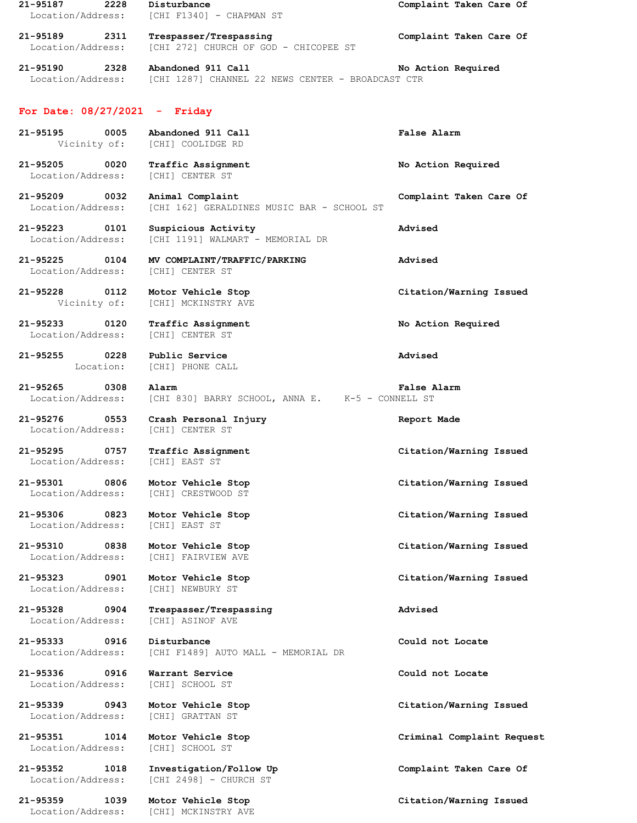| 21-95187<br>2228<br>Location/Address:              | Disturbance<br>[CHI F1340] - CHAPMAN ST                                                   | Complaint Taken Care Of    |
|----------------------------------------------------|-------------------------------------------------------------------------------------------|----------------------------|
| 21-95189<br>2311<br>Location/Address:              | Trespasser/Trespassing<br>[CHI 272] CHURCH OF GOD - CHICOPEE ST                           | Complaint Taken Care Of    |
| 21-95190 2328                                      | Abandoned 911 Call<br>Location/Address: [CHI 1287] CHANNEL 22 NEWS CENTER - BROADCAST CTR | No Action Required         |
| For Date: $08/27/2021$ - Friday                    |                                                                                           |                            |
| 21-95195<br>0005                                   | Abandoned 911 Call<br>Vicinity of: [CHI] COOLIDGE RD                                      | <b>False Alarm</b>         |
| 21-95205<br>$\overline{0020}$<br>Location/Address: | Traffic Assignment<br>[CHI] CENTER ST                                                     | No Action Required         |
| 0032<br>21-95209<br>Location/Address:              | Animal Complaint<br>[CHI 162] GERALDINES MUSIC BAR - SCHOOL ST                            | Complaint Taken Care Of    |
| 21-95223 0101<br>Location/Address:                 | Suspicious Activity<br>[CHI 1191] WALMART - MEMORIAL DR                                   | Advised                    |
| 21-95225 0104<br>Location/Address:                 | MV COMPLAINT/TRAFFIC/PARKING<br>[CHI] CENTER ST                                           | Advised                    |
| 21-95228 0112<br>Vicinity of:                      | Motor Vehicle Stop<br>[CHI] MCKINSTRY AVE                                                 | Citation/Warning Issued    |
| 21-95233<br>0120<br>Location/Address:              | Traffic Assignment<br>[CHI] CENTER ST                                                     | No Action Required         |
| 21-95255 0228<br>Location:                         | Public Service<br>[CHI] PHONE CALL                                                        | Advised                    |
| 21-95265<br>0308<br>Location/Address:              | Alarm<br>[CHI 830] BARRY SCHOOL, ANNA E. K-5 - CONNELL ST                                 | <b>False Alarm</b>         |
| $21 - 95276$<br>0553<br>Location/Address:          | Crash Personal Injury<br>[CHI] CENTER ST                                                  | Report Made                |
| 21-95295<br>0757<br>Location/Address:              | Traffic Assignment<br>[CHI] EAST ST                                                       | Citation/Warning Issued    |
| 21-95301<br>0806<br>Location/Address:              | Motor Vehicle Stop<br><b>[CHI] CRESTWOOD ST</b>                                           | Citation/Warning Issued    |
| 21-95306<br>0823<br>Location/Address:              | Motor Vehicle Stop<br>[CHI] EAST ST                                                       | Citation/Warning Issued    |
| 21-95310<br>0838<br>Location/Address:              | Motor Vehicle Stop<br>[CHI] FAIRVIEW AVE                                                  | Citation/Warning Issued    |
| $21 - 95323$<br>0901<br>Location/Address:          | Motor Vehicle Stop<br>[CHI] NEWBURY ST                                                    | Citation/Warning Issued    |
| 21-95328<br>0904<br>Location/Address:              | Trespasser/Trespassing<br>[CHI] ASINOF AVE                                                | Advised                    |
| 21-95333<br>0916<br>Location/Address:              | Disturbance<br>[CHI F1489] AUTO MALL - MEMORIAL DR                                        | Could not Locate           |
| 21-95336<br>0916<br>Location/Address:              | Warrant Service<br>[CHI] SCHOOL ST                                                        | Could not Locate           |
| 21-95339<br>0943<br>Location/Address:              | Motor Vehicle Stop<br>[CHI] GRATTAN ST                                                    | Citation/Warning Issued    |
| 21-95351<br>1014<br>Location/Address:              | Motor Vehicle Stop<br>[CHI] SCHOOL ST                                                     | Criminal Complaint Request |
| 21-95352<br>1018<br>Location/Address:              | Investigation/Follow Up<br>[CHI 2498] - CHURCH ST                                         | Complaint Taken Care Of    |
| $21 - 95359$<br>1039<br>Location/Address:          | Motor Vehicle Stop<br>[CHI] MCKINSTRY AVE                                                 | Citation/Warning Issued    |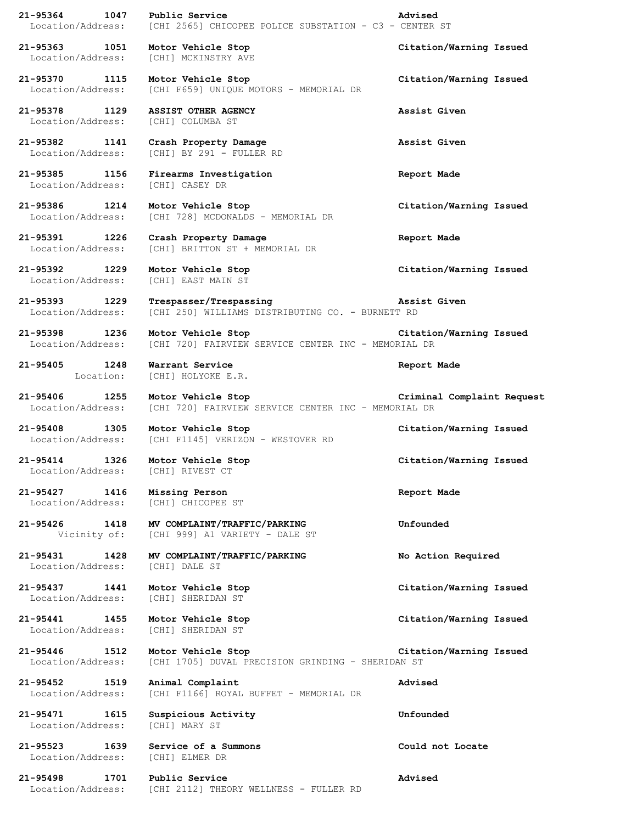**21-95364 1047 Public Service Advised** Location/Address: [CHI 2565] CHICOPEE POLICE SUBSTATION - C3 - CENTER ST **21-95363 1051 Motor Vehicle Stop Citation/Warning Issued** Location/Address: [CHI] MCKINSTRY AVE **21-95370 1115 Motor Vehicle Stop Citation/Warning Issued** Location/Address: [CHI F659] UNIQUE MOTORS - MEMORIAL DR **21-95378 1129 ASSIST OTHER AGENCY Assist Given** Location/Address: [CHI] COLUMBA ST **21-95382 1141 Crash Property Damage Assist Given** Location/Address: [CHI] BY 291 - FULLER RD **21-95385 1156 Firearms Investigation Report Made** Location/Address: [CHI] CASEY DR **21-95386 1214 Motor Vehicle Stop Citation/Warning Issued** Location/Address: [CHI 728] MCDONALDS - MEMORIAL DR **21-95391 1226 Crash Property Damage Report Made** Location/Address: [CHI] BRITTON ST + MEMORIAL DR **21-95392 1229 Motor Vehicle Stop Citation/Warning Issued** Location/Address: [CHI] EAST MAIN ST **21-95393 1229 Trespasser/Trespassing Assist Given** Location/Address: [CHI 250] WILLIAMS DISTRIBUTING CO. - BURNETT RD **21-95398 1236 Motor Vehicle Stop Citation/Warning Issued** Location/Address: [CHI 720] FAIRVIEW SERVICE CENTER INC - MEMORIAL DR **21-95405 1248 Warrant Service Report Made** Location: [CHI] HOLYOKE E.R. **21-95406 1255 Motor Vehicle Stop Criminal Complaint Request** Location/Address: [CHI 720] FAIRVIEW SERVICE CENTER INC - MEMORIAL DR **21-95408 1305 Motor Vehicle Stop Citation/Warning Issued** Location/Address: [CHI F1145] VERIZON - WESTOVER RD **21-95414 1326 Motor Vehicle Stop Citation/Warning Issued** Location/Address: [CHI] RIVEST CT **21-95427 1416 Missing Person Report Made** Location/Address: [CHI] CHICOPEE ST **21-95426 1418 MV COMPLAINT/TRAFFIC/PARKING Unfounded** Vicinity of: [CHI 999] A1 VARIETY - DALE ST **21-95431 1428 MV COMPLAINT/TRAFFIC/PARKING No Action Required** Location/Address: [CHI] DALE ST **21-95437 1441 Motor Vehicle Stop Citation/Warning Issued** Location/Address: [CHI] SHERIDAN ST **21-95441 1455 Motor Vehicle Stop Citation/Warning Issued** Location/Address: [CHI] SHERIDAN ST **21-95446 1512 Motor Vehicle Stop Citation/Warning Issued** Location/Address: [CHI 1705] DUVAL PRECISION GRINDING - SHERIDAN ST **21-95452 1519 Animal Complaint Advised** Location/Address: [CHI F1166] ROYAL BUFFET - MEMORIAL DR **21-95471 1615 Suspicious Activity Unfounded** Location/Address: [CHI] MARY ST **21-95523 1639 Service of a Summons Could not Locate** Location/Address: [CHI] ELMER DR **21-95498 1701 Public Service Advised** Location/Address: [CHI 2112] THEORY WELLNESS - FULLER RD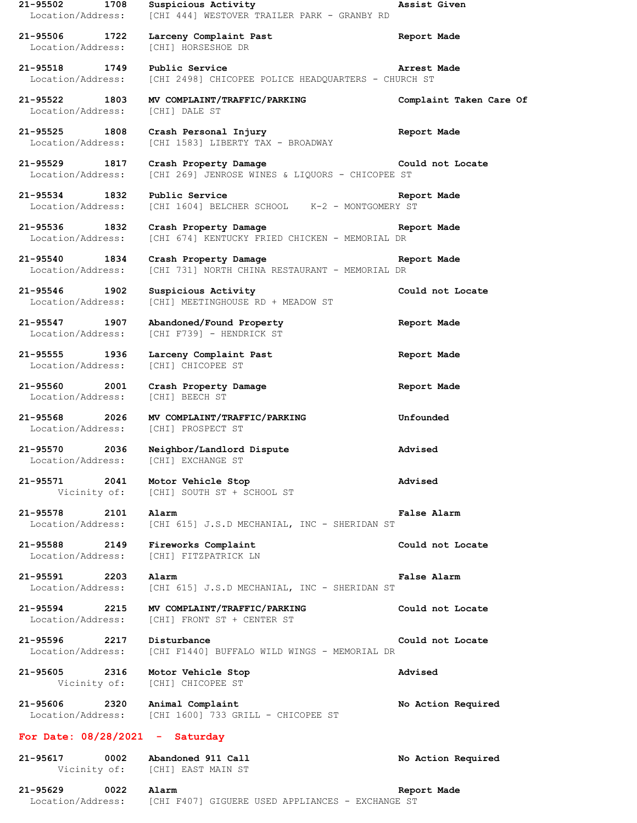**21-95502 1708 Suspicious Activity Assist Given** Location/Address: [CHI 444] WESTOVER TRAILER PARK - GRANBY RD **21-95506 1722 Larceny Complaint Past Report Made** Location/Address: [CHI] HORSESHOE DR **21-95518 1749 Public Service Arrest Made** Location/Address: [CHI 2498] CHICOPEE POLICE HEADQUARTERS - CHURCH ST **21-95522 1803 MV COMPLAINT/TRAFFIC/PARKING Complaint Taken Care Of** Location/Address: [CHI] DALE ST **21-95525 1808 Crash Personal Injury Report Made** [CHI 1583] LIBERTY TAX - BROADWAY **21-95529 1817 Crash Property Damage Could not Locate Could not Locate Location/Address:** [CHI 269] JENROSE WINES & LIQUORS - CHICOPEE ST [CHI 269] JENROSE WINES & LIQUORS - CHICOPEE ST **21-95534 1832 Public Service Report Made** Location/Address: [CHI 1604] BELCHER SCHOOL K-2 - MONTGOMERY ST **21-95536 1832 Crash Property Damage Report Made** Location/Address: [CHI 674] KENTUCKY FRIED CHICKEN - MEMORIAL DR **21-95540 1834 Crash Property Damage Report Made** Location/Address: [CHI 731] NORTH CHINA RESTAURANT - MEMORIAL DR **21-95546 1902 Suspicious Activity Could not Locate** Location/Address: [CHI] MEETINGHOUSE RD + MEADOW ST **21-95547 1907 Abandoned/Found Property Report Made** Location/Address: [CHI F739] - HENDRICK ST **21-95555 1936 Larceny Complaint Past Report Made** Location/Address: [CHI] CHICOPEE ST **21-95560 2001 Crash Property Damage Report Made** Location/Address: [CHI] BEECH ST **21-95568 2026 MV COMPLAINT/TRAFFIC/PARKING Unfounded** Location/Address: [CHI] PROSPECT ST **21-95570 2036 Neighbor/Landlord Dispute Advised** Location/Address: [CHI] EXCHANGE ST **21-95571 2041 Motor Vehicle Stop Advised** [CHI] SOUTH ST + SCHOOL ST **21-95578 2101 Alarm False Alarm** Location/Address: [CHI 615] J.S.D MECHANIAL, INC - SHERIDAN ST **21-95588 2149 Fireworks Complaint Could not Locate** Location/Address: [CHI] FITZPATRICK LN **21-95591 2203 Alarm False Alarm** Location/Address: [CHI 615] J.S.D MECHANIAL, INC - SHERIDAN ST **21-95594 2215 MV COMPLAINT/TRAFFIC/PARKING Could not Locate** Location/Address: [CHI] FRONT ST + CENTER ST **21-95596 2217 Disturbance Could not Locate** Location/Address: [CHI F1440] BUFFALO WILD WINGS - MEMORIAL DR **21-95605 2316 Motor Vehicle Stop Advised** Vicinity of: [CHI] CHICOPEE ST **21-95606 2320 Animal Complaint No Action Required** Location/Address: [CHI 1600] 733 GRILL - CHICOPEE ST **For Date: 08/28/2021 - Saturday 21-95617 0002 Abandoned 911 Call No Action Required** Vicinity of: [CHI] EAST MAIN ST **21-95629 0022 Alarm Report Made**

Location/Address: [CHI F407] GIGUERE USED APPLIANCES - EXCHANGE ST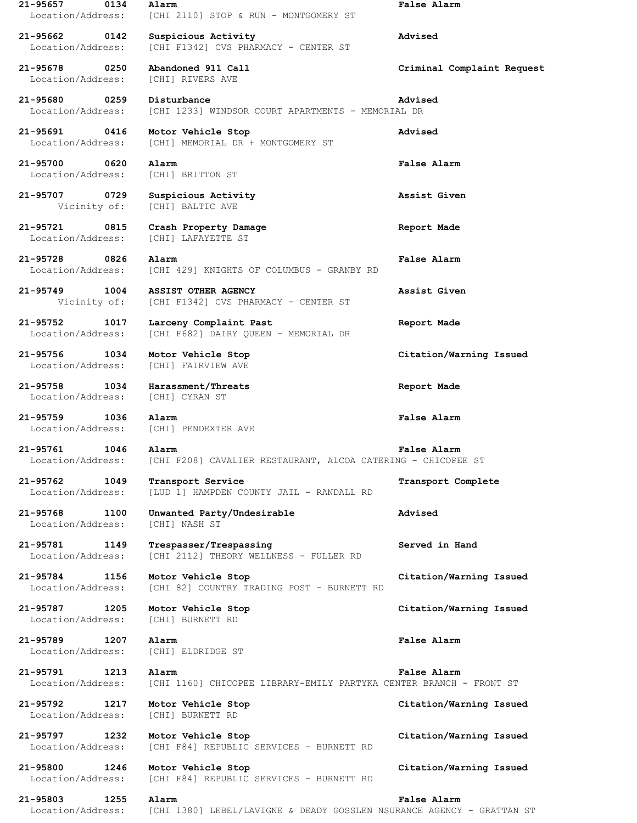**21-95657 0134 Alarm False Alarm** Location/Address: [CHI 2110] STOP & RUN - MONTGOMERY ST **21-95662 0142 Suspicious Activity Advised** Location/Address: [CHI F1342] CVS PHARMACY - CENTER ST **21-95678 0250 Abandoned 911 Call Criminal Complaint Request** Location/Address: [CHI] RIVERS AVE **21-95680 0259 Disturbance Advised** Location/Address: [CHI 1233] WINDSOR COURT APARTMENTS - MEMORIAL DR **21-95691 0416 Motor Vehicle Stop Advised** Location/Address: [CHI] MEMORIAL DR + MONTGOMERY ST **21-95700 0620 Alarm False Alarm** Location/Address: [CHI] BRITTON ST **21-95707 0729 Suspicious Activity Assist Given** Vicinity of: [CHI] BALTIC AVE **21-95721 0815 Crash Property Damage Report Made** Location/Address: [CHI] LAFAYETTE ST **21-95728 0826 Alarm False Alarm** Location/Address: [CHI 429] KNIGHTS OF COLUMBUS - GRANBY RD **21-95749 1004 ASSIST OTHER AGENCY Assist Given** Vicinity of: [CHI F1342] CVS PHARMACY - CENTER ST **21-95752 1017 Larceny Complaint Past Report Made** Location/Address: [CHI F682] DAIRY QUEEN - MEMORIAL DR **21-95756 1034 Motor Vehicle Stop Citation/Warning Issued** Location/Address: [CHI] FAIRVIEW AVE **21-95758 1034 Harassment/Threats Report Made** Location/Address: [CHI] CYRAN ST **21-95759 1036 Alarm False Alarm** Location/Address: [CHI] PENDEXTER AVE **21-95761 1046 Alarm False Alarm** Location/Address: [CHI F208] CAVALIER RESTAURANT, ALCOA CATERING - CHICOPEE ST **21-95762 1049 Transport Service Transport Complete** Location/Address: [LUD 1] HAMPDEN COUNTY JAIL - RANDALL RD **21-95768 1100 Unwanted Party/Undesirable Advised** Location/Address: [CHI] NASH ST **21-95781 1149 Trespasser/Trespassing Served in Hand** Location/Address: [CHI 2112] THEORY WELLNESS - FULLER RD **21-95784 1156 Motor Vehicle Stop Citation/Warning Issued** Location/Address: [CHI 82] COUNTRY TRADING POST - BURNETT RD **21-95787 1205 Motor Vehicle Stop Citation/Warning Issued** Location/Address: [CHI] BURNETT RD **21-95789 1207 Alarm False Alarm** Location/Address: [CHI] ELDRIDGE ST **21-95791 1213 Alarm False Alarm** Location/Address: [CHI 1160] CHICOPEE LIBRARY-EMILY PARTYKA CENTER BRANCH - FRONT ST **21-95792 1217 Motor Vehicle Stop Citation/Warning Issued** Location/Address: [CHI] BURNETT RD **21-95797 1232 Motor Vehicle Stop Citation/Warning Issued** Location/Address: [CHI F84] REPUBLIC SERVICES - BURNETT RD **21-95800 1246 Motor Vehicle Stop Citation/Warning Issued** Location/Address: [CHI F84] REPUBLIC SERVICES - BURNETT RD **21-95803 1255 Alarm False Alarm** Location/Address: [CHI 1380] LEBEL/LAVIGNE & DEADY GOSSLEN NSURANCE AGENCY - GRATTAN ST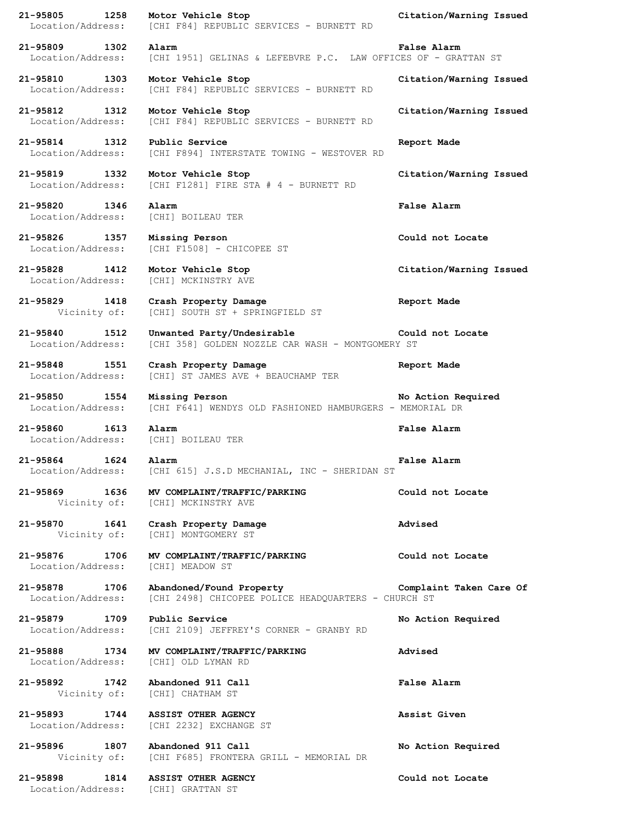**21-95805 1258 Motor Vehicle Stop Citation/Warning Issued**

Location/Address: [CHI F84] REPUBLIC SERVICES - BURNETT RD

**21-95809 1302 Alarm False Alarm** Location/Address: [CHI 1951] GELINAS & LEFEBVRE P.C. LAW OFFICES OF - GRATTAN ST

**21-95810 1303 Motor Vehicle Stop Citation/Warning Issued** Location/Address: [CHI F84] REPUBLIC SERVICES - BURNETT RD

**21-95812 1312 Motor Vehicle Stop Citation/Warning Issued** Location/Address: [CHI F84] REPUBLIC SERVICES - BURNETT RD

**21-95814 1312 Public Service Report Made** Location/Address: [CHI F894] INTERSTATE TOWING - WESTOVER RD

**21-95819 1332 Motor Vehicle Stop Citation/Warning Issued** Location/Address: [CHI F1281] FIRE STA # 4 - BURNETT RD

**21-95820 1346 Alarm False Alarm** Location/Address: [CHI] BOILEAU TER

**21-95826 1357 Missing Person Could not Locate** Location/Address: [CHI F1508] - CHICOPEE ST

**21-95828 1412 Motor Vehicle Stop Citation/Warning Issued** Location/Address: [CHI] MCKINSTRY AVE

**21-95829 1418 Crash Property Damage Report Made** Vicinity of: [CHI] SOUTH ST + SPRINGFIELD ST

**21-95840 1512 Unwanted Party/Undesirable Could not Locate** Location/Address: [CHI 358] GOLDEN NOZZLE CAR WASH - MONTGOMERY ST

**21-95848 1551 Crash Property Damage Report Made** Location/Address: [CHI] ST JAMES AVE + BEAUCHAMP TER

**21-95850 1554 Missing Person No Action Required** Location/Address: [CHI F641] WENDYS OLD FASHIONED HAMBURGERS - MEMORIAL DR

**21-95860 1613 Alarm False Alarm** Location/Address: [CHI] BOILEAU TER

**21-95864 1624 Alarm False Alarm** Location/Address: [CHI 615] J.S.D MECHANIAL, INC - SHERIDAN ST

**21-95869 1636 MV COMPLAINT/TRAFFIC/PARKING Could not Locate** Vicinity of: [CHI] MCKINSTRY AVE

**21-95870 1641 Crash Property Damage Advised** Vicinity of: [CHI] MONTGOMERY ST

**21-95876 1706 MV COMPLAINT/TRAFFIC/PARKING Could not Locate** Location/Address: [CHI] MEADOW ST

**21-95878 1706 Abandoned/Found Property Complaint Taken Care Of** Location/Address: [CHI 2498] CHICOPEE POLICE HEADQUARTERS - CHURCH ST

**21-95879 1709 Public Service No Action Required** Location/Address: [CHI 2109] JEFFREY'S CORNER - GRANBY RD

**21-95888 1734 MV COMPLAINT/TRAFFIC/PARKING Advised** Location/Address: [CHI] OLD LYMAN RD

**21-95892 1742 Abandoned 911 Call False Alarm** Vicinity of: [CHI] CHATHAM ST

**21-95893 1744 ASSIST OTHER AGENCY Assist Given** Location/Address: [CHI 2232] EXCHANGE ST

**21-95896 1807 Abandoned 911 Call No Action Required** Vicinity of: [CHI F685] FRONTERA GRILL - MEMORIAL DR

**21-95898 1814 ASSIST OTHER AGENCY Could not Locate** Location/Address: [CHI] GRATTAN ST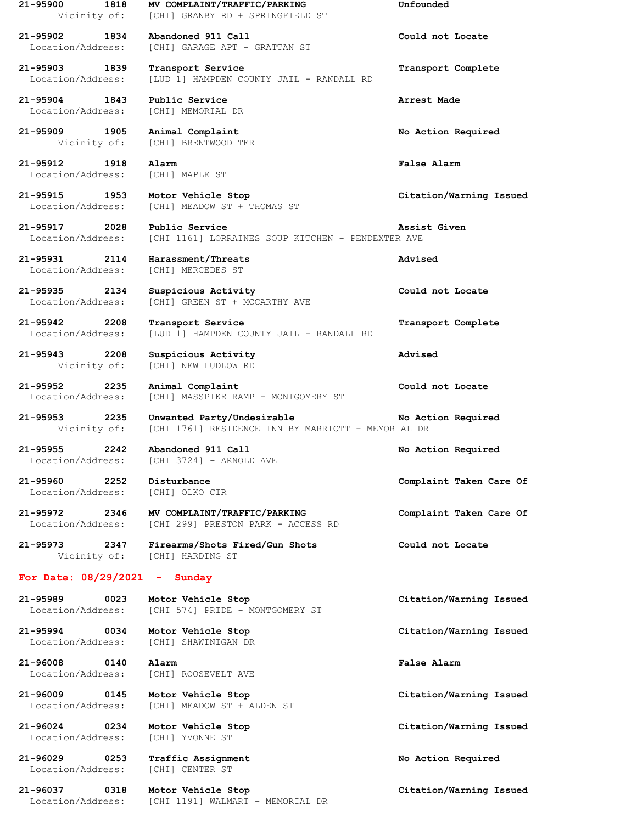**21-95900 1818 MV COMPLAINT/TRAFFIC/PARKING Unfounded** Vicinity of: [CHI] GRANBY RD + SPRINGFIELD ST **21-95902 1834 Abandoned 911 Call Could not Locate** Location/Address: [CHI] GARAGE APT - GRATTAN ST **21-95903 1839 Transport Service Transport Complete** Location/Address: [LUD 1] HAMPDEN COUNTY JAIL - RANDALL RD **21-95904 1843 Public Service Arrest Made** Location/Address: [CHI] MEMORIAL DR **21-95909 1905 Animal Complaint No Action Required** Vicinity of: [CHI] BRENTWOOD TER **21-95912 1918 Alarm False Alarm** Location/Address: [CHI] MAPLE ST **21-95915 1953 Motor Vehicle Stop Citation/Warning Issued** Location/Address: [CHI] MEADOW ST + THOMAS ST **21-95917 2028 Public Service Assist Given** Location/Address: [CHI 1161] LORRAINES SOUP KITCHEN - PENDEXTER AVE **21-95931 2114 Harassment/Threats Advised** Location/Address: [CHI] MERCEDES ST **21-95935 2134 Suspicious Activity Could not Locate** Location/Address: [CHI] GREEN ST + MCCARTHY AVE **21-95942 2208 Transport Service Transport Complete** Location/Address: [LUD 1] HAMPDEN COUNTY JAIL - RANDALL RD **21-95943 2208 Suspicious Activity Advised** Vicinity of: [CHI] NEW LUDLOW RD **21-95952 2235 Animal Complaint Could not Locate** Location/Address: [CHI] MASSPIKE RAMP - MONTGOMERY ST **21-95953 2235 Unwanted Party/Undesirable No Action Required** Vicinity of: [CHI 1761] RESIDENCE INN BY MARRIOTT - MEMORIAL DR **21-95955 2242 Abandoned 911 Call No Action Required** Location/Address: [CHI 3724] - ARNOLD AVE **21-95960 2252 Disturbance Complaint Taken Care Of** Location/Address: [CHI] OLKO CIR **21-95972 2346 MV COMPLAINT/TRAFFIC/PARKING Complaint Taken Care Of** Location/Address: [CHI 299] PRESTON PARK - ACCESS RD **21-95973 2347 Firearms/Shots Fired/Gun Shots Could not Locate** Vicinity of: [CHI] HARDING ST **For Date: 08/29/2021 - Sunday 21-95989 0023 Motor Vehicle Stop Citation/Warning Issued** Location/Address: [CHI 574] PRIDE - MONTGOMERY ST **21-95994 0034 Motor Vehicle Stop Citation/Warning Issued** Location/Address: [CHI] SHAWINIGAN DR **21-96008 0140 Alarm False Alarm** Location/Address: [CHI] ROOSEVELT AVE **21-96009 0145 Motor Vehicle Stop Citation/Warning Issued** Location/Address: [CHI] MEADOW ST + ALDEN ST **21-96024 0234 Motor Vehicle Stop Citation/Warning Issued** Location/Address: [CHI] YVONNE ST **21-96029 0253 Traffic Assignment No Action Required** Location/Address: [CHI] CENTER ST **21-96037 0318 Motor Vehicle Stop Citation/Warning Issued**

Location/Address: [CHI 1191] WALMART - MEMORIAL DR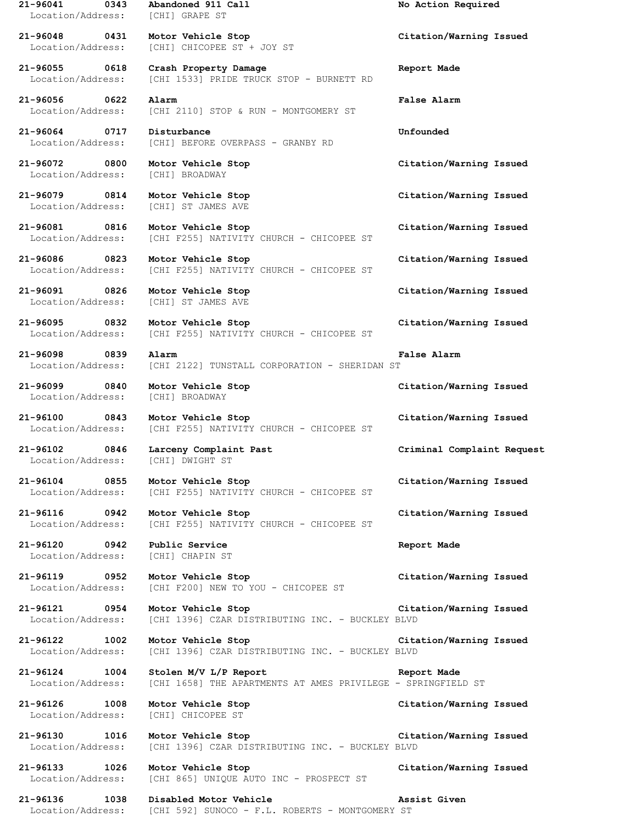**21-96041 0343 Abandoned 911 Call No Action Required** Location/Address: [CHI] GRAPE ST

Location/Address: [CHI] BROADWAY

Location/Address: [CHI] BROADWAY

Location/Address: [CHI] DWIGHT ST

**21-96048 0431 Motor Vehicle Stop Citation/Warning Issued** Location/Address: [CHI] CHICOPEE ST + JOY ST

**21-96055 0618 Crash Property Damage Report Made** Location/Address: [CHI 1533] PRIDE TRUCK STOP - BURNETT RD

**21-96056 0622 Alarm False Alarm** Location/Address: [CHI 2110] STOP & RUN - MONTGOMERY ST

**21-96064 0717 Disturbance Unfounded** Location/Address: [CHI] BEFORE OVERPASS - GRANBY RD

Location/Address: [CHI] ST JAMES AVE

**21-96081 0816 Motor Vehicle Stop Citation/Warning Issued** Location/Address: [CHI F255] NATIVITY CHURCH - CHICOPEE ST

**21-96086 0823 Motor Vehicle Stop Citation/Warning Issued** Location/Address: [CHI F255] NATIVITY CHURCH - CHICOPEE ST

Location/Address: [CHI] ST JAMES AVE

**21-96095 0832 Motor Vehicle Stop Citation/Warning Issued** Location/Address: [CHI F255] NATIVITY CHURCH - CHICOPEE ST

**21-96098 0839 Alarm False Alarm** Location/Address: [CHI 2122] TUNSTALL CORPORATION - SHERIDAN ST

**21-96100 0843 Motor Vehicle Stop Citation/Warning Issued** Location/Address: [CHI F255] NATIVITY CHURCH - CHICOPEE ST

**21-96102 0846 Larceny Complaint Past Criminal Complaint Request**

**21-96104 0855 Motor Vehicle Stop Citation/Warning Issued** Location/Address: [CHI F255] NATIVITY CHURCH - CHICOPEE ST

**21-96116 0942 Motor Vehicle Stop Citation/Warning Issued** Location/Address: [CHI F255] NATIVITY CHURCH - CHICOPEE ST

**21-96120 0942 Public Service Report Made** Location/Address: [CHI] CHAPIN ST

**21-96119 0952 Motor Vehicle Stop Citation/Warning Issued** Location/Address: [CHI F200] NEW TO YOU - CHICOPEE ST

**21-96121 0954 Motor Vehicle Stop Citation/Warning Issued** Location/Address: [CHI 1396] CZAR DISTRIBUTING INC. - BUCKLEY BLVD

**21-96122 1002 Motor Vehicle Stop Citation/Warning Issued** Location/Address: [CHI 1396] CZAR DISTRIBUTING INC. - BUCKLEY BLVD

**21-96124 1004 Stolen M/V L/P Report Report Made** Location/Address: [CHI 1658] THE APARTMENTS AT AMES PRIVILEGE - SPRINGFIELD ST

**21-96126 1008 Motor Vehicle Stop Citation/Warning Issued** Location/Address: [CHI] CHICOPEE ST

**21-96130 1016 Motor Vehicle Stop Citation/Warning Issued** Location/Address: [CHI 1396] CZAR DISTRIBUTING INC. - BUCKLEY BLVD

**21-96133 1026 Motor Vehicle Stop Citation/Warning Issued** Location/Address: [CHI 865] UNIQUE AUTO INC - PROSPECT ST

**21-96136 1038 Disabled Motor Vehicle Assist Given** Location/Address: [CHI 592] SUNOCO - F.L. ROBERTS - MONTGOMERY ST

**21-96072 0800 Motor Vehicle Stop Citation/Warning Issued**

**21-96079 0814 Motor Vehicle Stop Citation/Warning Issued**

**21-96091 0826 Motor Vehicle Stop Citation/Warning Issued**

**21-96099 0840 Motor Vehicle Stop Citation/Warning Issued**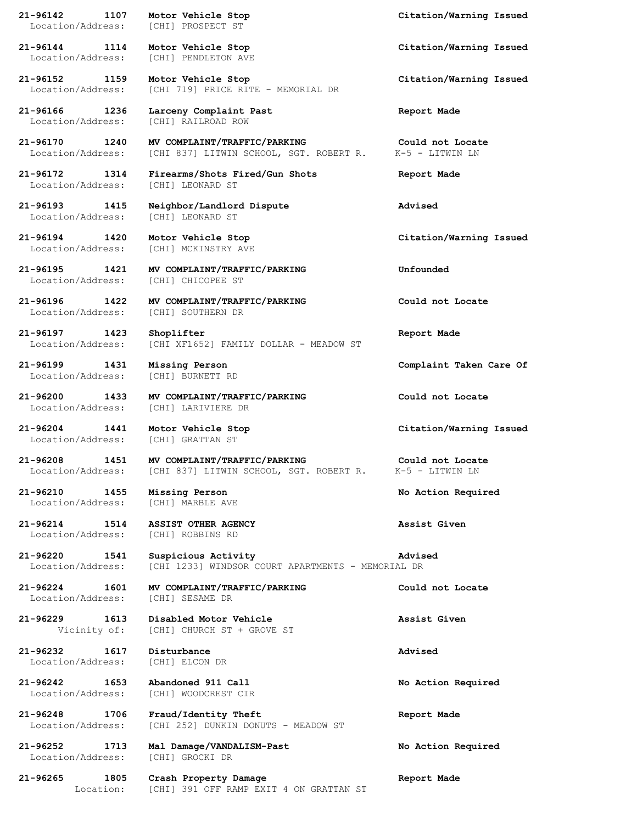**21-96142 1107 Motor Vehicle Stop Citation/Warning Issued** Location/Address: [CHI] PROSPECT ST **21-96144 1114 Motor Vehicle Stop Citation/Warning Issued**

Location/Address: [CHI] PENDLETON AVE

**21-96152 1159 Motor Vehicle Stop Citation/Warning Issued** Location/Address: [CHI 719] PRICE RITE - MEMORIAL DR

**21-96166 1236 Larceny Complaint Past Report Made** Location/Address: [CHI] RAILROAD ROW

Location/Address:

Location/Address: [CHI] BURNETT RD

Location/Address: [CHI] GRATTAN ST

**21-96210 1455 Missing Person No Action Required** Location/Address: [CHI] MARBLE AVE

**21-96214 1514 ASSIST OTHER AGENCY Assist Given** Location/Address: [CHI] ROBBINS RD

**21-96232 1617 Disturbance Advised** Location/Address: [CHI] ELCON DR

**21-96170 1240 MV COMPLAINT/TRAFFIC/PARKING Could not Locate** Location/Address: [CHI 837] LITWIN SCHOOL, SGT. ROBERT R. K-5 - LITWIN LN

**21-96172 1314 Firearms/Shots Fired/Gun Shots Report Made**

**21-96193 1415 Neighbor/Landlord Dispute Advised** Location/Address: [CHI] LEONARD ST

Location/Address: [CHI] MCKINSTRY AVE

**21-96195 1421 MV COMPLAINT/TRAFFIC/PARKING Unfounded** Location/Address: [CHI] CHICOPEE ST

**21-96196 1422 MV COMPLAINT/TRAFFIC/PARKING Could not Locate** Location/Address: [CHI] SOUTHERN DR

**21-96197 1423 Shoplifter Report Made** Location/Address: [CHI XF1652] FAMILY DOLLAR - MEADOW ST

**21-96200 1433 MV COMPLAINT/TRAFFIC/PARKING Could not Locate** Location/Address: [CHI] LARIVIERE DR

**21-96208 1451 MV COMPLAINT/TRAFFIC/PARKING Could not Locate** Location/Address: [CHI 837] LITWIN SCHOOL, SGT. ROBERT R. K-5 - LITWIN LN

**21-96220 1541 Suspicious Activity Advised** Location/Address: [CHI 1233] WINDSOR COURT APARTMENTS - MEMORIAL DR

**21-96224 1601 MV COMPLAINT/TRAFFIC/PARKING Could not Locate** Location/Address: [CHI] SESAME DR

**21-96229 1613 Disabled Motor Vehicle Assist Given** Vicinity of: [CHI] CHURCH ST + GROVE ST

**21-96242 1653 Abandoned 911 Call No Action Required** Location/Address: [CHI] WOODCREST CIR

**21-96248 1706 Fraud/Identity Theft Report Made** Location/Address: [CHI 252] DUNKIN DONUTS - MEADOW ST

**21-96252 1713 Mal Damage/VANDALISM-Past No Action Required** Location/Address: [CHI] GROCKI DR

**21-96265 1805 Crash Property Damage Report Made** Location: [CHI] 391 OFF RAMP EXIT 4 ON GRATTAN ST

**21-96194 1420 Motor Vehicle Stop Citation/Warning Issued**

**21-96199 1431 Missing Person Complaint Taken Care Of**

**21-96204 1441 Motor Vehicle Stop Citation/Warning Issued**